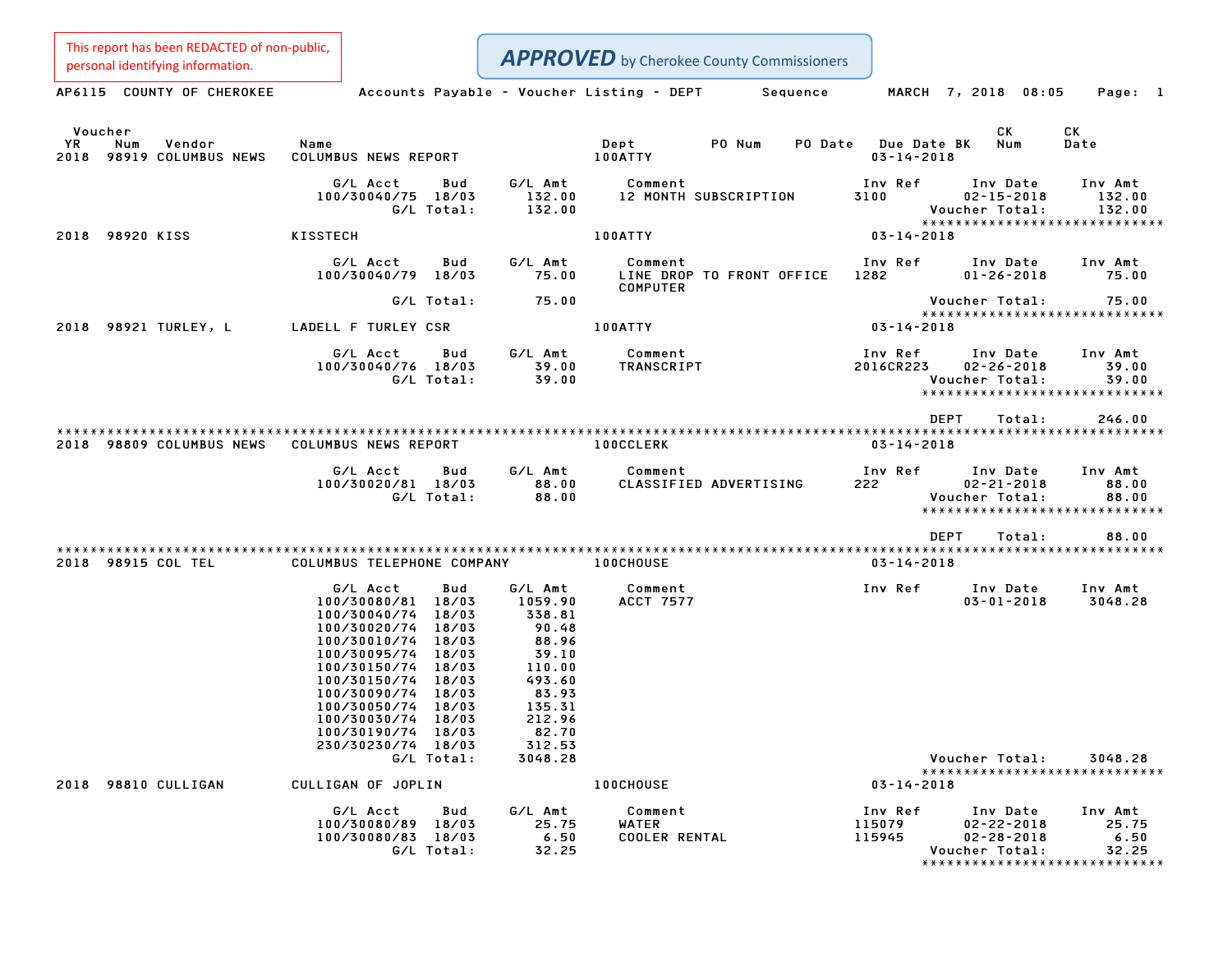| This report has been REDACTED of non-public,                   |                                                                                                                                                                                                                                                                           |                                                                                                          | <b>APPROVED</b> by Cherokee County Commissioners        |                                 |                                                                                |                                                                     |
|----------------------------------------------------------------|---------------------------------------------------------------------------------------------------------------------------------------------------------------------------------------------------------------------------------------------------------------------------|----------------------------------------------------------------------------------------------------------|---------------------------------------------------------|---------------------------------|--------------------------------------------------------------------------------|---------------------------------------------------------------------|
| personal identifying information.<br>AP6115 COUNTY OF CHEROKEE | Accounts Payable - Voucher Listing - DEPT                                                                                                                                                                                                                                 |                                                                                                          | Sequence                                                |                                 | MARCH 7, 2018 08:05                                                            | Page: 1                                                             |
|                                                                |                                                                                                                                                                                                                                                                           |                                                                                                          |                                                         |                                 |                                                                                |                                                                     |
| Voucher<br>Num<br>Vendor<br>YR<br>2018<br>98919 COLUMBUS NEWS  | Name<br>COLUMBUS NEWS REPORT                                                                                                                                                                                                                                              |                                                                                                          | Dept<br>PO Num<br>PO Date<br>100ATTY                    | Due Date BK<br>$03 - 14 - 2018$ | CK<br>Num                                                                      | СK<br>Date                                                          |
|                                                                | G/L Acct<br>Bud<br>100/30040/75 18/03<br>G/L Total:                                                                                                                                                                                                                       | G/L Amt<br>132.00<br>132.00                                                                              | Comment<br>12 MONTH SUBSCRIPTION                        | Inv Ref<br>3100                 | Inv Date<br>$02 - 15 - 2018$<br>Voucher Total:                                 | Inv Amt<br>132.00<br>132.00<br>******************************       |
| 98920 KISS<br>2018                                             | <b>KISSTECH</b>                                                                                                                                                                                                                                                           |                                                                                                          | 100ATTY                                                 | $03 - 14 - 2018$                |                                                                                |                                                                     |
|                                                                | G/L Acct<br>Bud<br>100/30040/79 18/03                                                                                                                                                                                                                                     | G/L Amt<br>75.00                                                                                         | Comment<br>LINE DROP TO FRONT OFFICE<br><b>COMPUTER</b> | Inv Ref<br>1282                 | Inv Date<br>$01 - 26 - 2018$                                                   | Inv Amt<br>75.00                                                    |
|                                                                | G/L Total:                                                                                                                                                                                                                                                                | 75.00                                                                                                    |                                                         |                                 | Voucher Total:                                                                 | 75.00                                                               |
| 98921 TURLEY, L<br>2018                                        | LADELL F TURLEY CSR                                                                                                                                                                                                                                                       |                                                                                                          | 100ATTY                                                 | $03 - 14 - 2018$                |                                                                                | *****************************                                       |
|                                                                | G/L Acct<br>Bud<br>100/30040/76 18/03<br>G/L Total:                                                                                                                                                                                                                       | G/L Amt<br>39.00<br>39.00                                                                                | Comment<br>TRANSCRIPT                                   | Inv Ref<br>2016CR223            | Inv Date<br>$02 - 26 - 2018$<br>Voucher Total:                                 | Inv Amt<br>39.00<br>39.00<br>******************************         |
|                                                                |                                                                                                                                                                                                                                                                           |                                                                                                          |                                                         | DEPT                            | Total:                                                                         | 246.00                                                              |
| 98809 COLUMBUS NEWS<br>2018                                    | <b>COLUMBUS NEWS REPORT</b>                                                                                                                                                                                                                                               |                                                                                                          | <b>100CCLERK</b>                                        | $03 - 14 - 2018$                |                                                                                | ************************                                            |
|                                                                | G/L Acct<br>Bud<br>100/30020/81 18/03<br>G/L Total:                                                                                                                                                                                                                       | G/L Amt<br>88.00<br>88.00                                                                                | Comment<br>CLASSIFIED ADVERTISING                       | Inv Ref<br>222                  | Inv Date<br>$02 - 21 - 2018$<br>Voucher Total:<br>**************************** | Inv Amt<br>88.00<br>88.00                                           |
|                                                                |                                                                                                                                                                                                                                                                           |                                                                                                          |                                                         | <b>DEPT</b>                     | Total:                                                                         | 88.00                                                               |
| 2018 98915 COL TEL                                             | COLUMBUS TELEPHONE COMPANY                                                                                                                                                                                                                                                |                                                                                                          | 100CHOUSE                                               | $03 - 14 - 2018$                |                                                                                |                                                                     |
|                                                                | G/L Acct<br>Bud<br>18/03<br>100/30080/81<br>100/30040/74<br>18/03<br>100/30020/74<br>18/03<br>100/30010/74<br>18/03<br>18/03<br>100/30095/74<br>100/30150/74<br>18/03<br>18/03<br>100/30150/74<br>18/03<br>100/30090/74<br>18/03<br>100/30050/74<br>100/30030/74<br>18/03 | G/L Amt<br>1059.90<br>338.81<br>90.48<br>88.96<br>39.10<br>110.00<br>493.60<br>83.93<br>135.31<br>212.96 | Comment<br><b>ACCT 7577</b>                             | Inv Ref                         | Inv Date<br>$03 - 01 - 2018$                                                   | Inv Amt<br>3048.28                                                  |
|                                                                | 100/30190/74 18/03<br>230/30230/74 18/03<br>G/L Total:                                                                                                                                                                                                                    | 82.70<br>312.53<br>3048.28                                                                               |                                                         |                                 | Voucher Total:                                                                 | 3048.28<br>*****************************                            |
| 2018 98810 CULLIGAN                                            | CULLIGAN OF JOPLIN                                                                                                                                                                                                                                                        |                                                                                                          | <b>100CHOUSE</b>                                        | $03 - 14 - 2018$                |                                                                                |                                                                     |
|                                                                | G/L Acct<br>Bud<br>100/30080/89 18/03<br>100/30080/83 18/03<br>G/L Total:                                                                                                                                                                                                 | G/L Amt<br>25.75<br>6.50<br>32.25                                                                        | Comment<br>WATER<br><b>COOLER RENTAL</b>                | Inv Ref<br>115079<br>115945     | Inv Date<br>$02 - 22 - 2018$<br>$02 - 28 - 2018$<br>Voucher Total:             | Inv Amt<br>25.75<br>6.50<br>32.25<br>****************************** |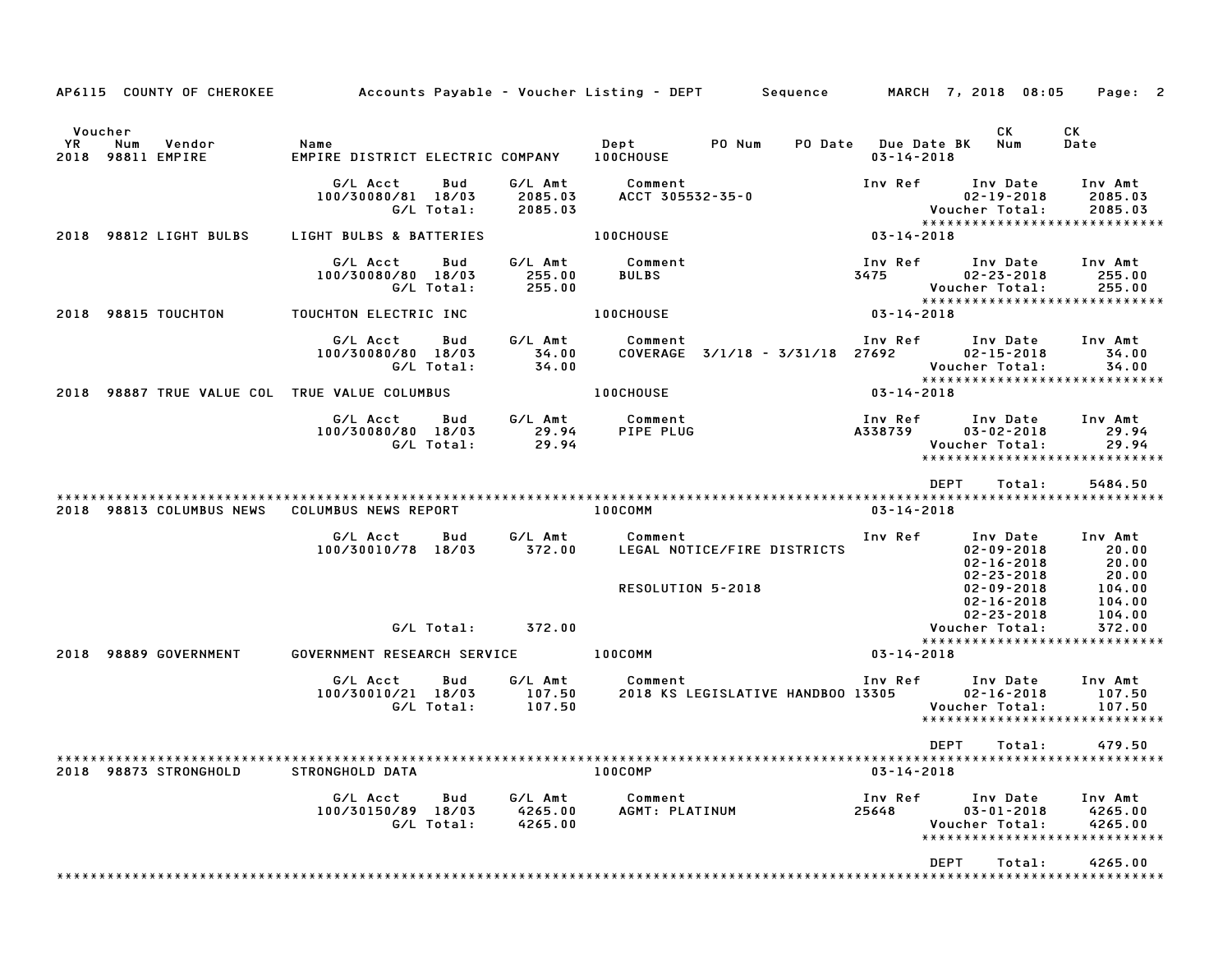|                                                  | AP6115 COUNTY OF CHEROKEE | Accounts Payable – Voucher Listing – DEPT         Sequence |                   |                               |                                 |                                   |                                         | MARCH 7, 2018 08:05                                                             | Page: 2                            |
|--------------------------------------------------|---------------------------|------------------------------------------------------------|-------------------|-------------------------------|---------------------------------|-----------------------------------|-----------------------------------------|---------------------------------------------------------------------------------|------------------------------------|
| Voucher<br><b>YR</b><br>Num<br>2018 98811 EMPIRE | Vendor                    | Name<br>EMPIRE DISTRICT ELECTRIC COMPANY                   |                   |                               | Dept PO Num<br><b>100CHOUSE</b> |                                   | PO Date Due Date BK<br>$03 - 14 - 2018$ | CK<br>Num                                                                       | СK<br>Date                         |
|                                                  |                           | G/L Acct<br>100/30080/81 18/03                             | Bud<br>G/L Total: | G/L Amt<br>2085.03<br>2085.03 | Comment<br>ACCT 305532-35-0     |                                   | Inv Ref                                 | Inv Date<br>$02 - 19 - 2018$<br>Voucher Total:<br>***************************** | Inv Amt<br>2085.03<br>2085.03      |
| 2018                                             | 98812 LIGHT BULBS         | LIGHT BULBS & BATTERIES                                    |                   |                               | <b>100CHOUSE</b>                |                                   | 03-14-2018                              |                                                                                 |                                    |
|                                                  |                           | G/L Acct<br>100/30080/80 18/03                             | Bud<br>G/L Total: | G/L Amt<br>255.00<br>255.00   | Comment<br><b>BULBS</b>         |                                   | Inv Ref<br>3475                         | Inv Date<br>$02 - 23 - 2018$<br>Voucher Total:<br>***************************** | Inv Amt<br>255.00<br>255.00        |
| 2018 98815 TOUCHTON                              |                           | TOUCHTON ELECTRIC INC                                      |                   |                               | <b>100CHOUSE</b>                |                                   | $03 - 14 - 2018$                        |                                                                                 |                                    |
|                                                  |                           | G/L Acct<br>100/30080/80 18/03                             | Bud<br>G/L Total: | G/L Amt<br>34.00<br>34.00     | Comment                         | COVERAGE 3/1/18 - 3/31/18 27692   | Inv Ref                                 | Inv Date<br>$02 - 15 - 2018$<br>Voucher Total:                                  | Inv Amt<br>34.00<br>34.00          |
| 2018                                             |                           | 98887 TRUE VALUE COL TRUE VALUE COLUMBUS                   |                   |                               | 100CHOUSE                       |                                   | $03 - 14 - 2018$                        | *****************************                                                   |                                    |
|                                                  |                           | G/L Acct<br>100/30080/80 18/03                             | Bud<br>G/L Total: | G/L Amt<br>29.94<br>29.94     | Comment<br>PIPE PLUG            |                                   | Inv Ref<br>A338739                      | Inv Date<br>$03 - 02 - 2018$<br>Voucher Total:<br>***************************** | Inv Amt<br>29.94<br>29.94          |
|                                                  |                           |                                                            |                   |                               |                                 |                                   |                                         | <b>DEPT</b><br>Total:                                                           | 5484.50                            |
|                                                  | 2018 98813 COLUMBUS NEWS  | COLUMBUS NEWS REPORT                                       |                   |                               | 100COMM                         |                                   | 03-14-2018                              |                                                                                 |                                    |
|                                                  |                           | G/L Acct<br>100/30010/78 18/03                             | Bud               | G/L Amt<br>372.00             | Comment                         | LEGAL NOTICE/FIRE DISTRICTS       | Inv Ref                                 | Inv Date<br>$02 - 09 - 2018$<br>$02 - 16 - 2018$<br>$02 - 23 - 2018$            | Inv Amt<br>20.00<br>20.00<br>20.00 |
|                                                  |                           |                                                            |                   |                               | RESOLUTION 5-2018               |                                   |                                         | $02 - 09 - 2018$<br>$02 - 16 - 2018$<br>$02 - 23 - 2018$                        | 104.00<br>104.00<br>104.00         |
|                                                  |                           |                                                            | G/L Total:        | 372.00                        |                                 |                                   |                                         | Voucher Total:<br>*****************************                                 | 372.00                             |
| 2018                                             | 98889 GOVERNMENT          | GOVERNMENT RESEARCH SERVICE                                |                   |                               | 100COMM                         |                                   | 03-14-2018                              |                                                                                 |                                    |
|                                                  |                           | G/L Acct<br>100/30010/21 18/03                             | Bud<br>G/L Total: | G/L Amt<br>107.50<br>107.50   | Comment                         | 2018 KS LEGISLATIVE HANDBOO 13305 | Inv Ref                                 | Inv Date<br>$02 - 16 - 2018$<br>Voucher Total:<br>***************************** | Inv Amt<br>107.50<br>107.50        |
|                                                  |                           |                                                            |                   |                               |                                 |                                   |                                         | DEPT<br>Total:                                                                  | 479.50                             |
|                                                  | 2018 98873 STRONGHOLD     | STRONGHOLD DATA                                            |                   |                               | 100COMP                         |                                   | $03 - 14 - 2018$                        |                                                                                 |                                    |
|                                                  |                           | G/L Acct<br>100/30150/89 18/03                             | Bud<br>G/L Total: | G/L Amt<br>4265.00<br>4265.00 | Comment<br>AGMT: PLATINUM       |                                   | Inv Ref<br>25648                        | Inv Date<br>$03 - 01 - 2018$<br>Voucher Total:<br>***************************** | Inv Amt<br>4265.00<br>4265.00      |
|                                                  |                           |                                                            |                   |                               |                                 |                                   |                                         | DEPT<br>Total:<br>*********************************                             | 4265.00                            |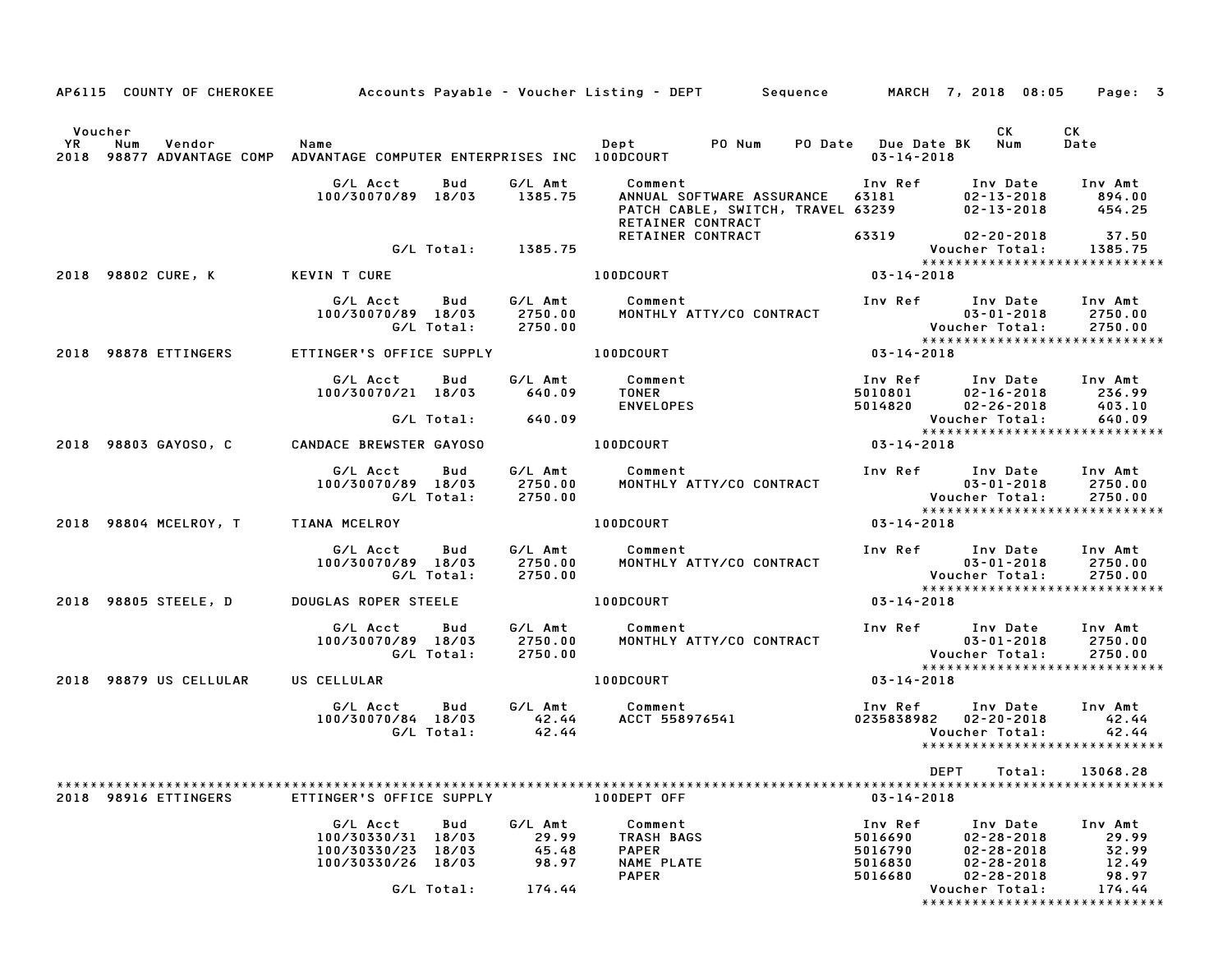|    |         |                        |                                                                                |                   |                                    |                                                            |                                                                                     |                                          |                                                                      | AP6115 COUNTY OF CHEROKEE Accounts Payable - Voucher Listing - DEPT Sequence MARCH 7, 2018 08:05 Page: 3 |
|----|---------|------------------------|--------------------------------------------------------------------------------|-------------------|------------------------------------|------------------------------------------------------------|-------------------------------------------------------------------------------------|------------------------------------------|----------------------------------------------------------------------|----------------------------------------------------------------------------------------------------------|
|    | Voucher |                        |                                                                                |                   |                                    |                                                            |                                                                                     |                                          | CK                                                                   | CK                                                                                                       |
| YR | Num     | Vendor                 | Name<br>2018 98877 ADVANTAGE COMP ADVANTAGE COMPUTER ENTERPRISES INC 100DCOURT |                   |                                    | Dept PONum                                                 |                                                                                     | $03 - 14 - 2018$                         | PO Date Due Date BK Num                                              | Date                                                                                                     |
|    |         |                        | G/L Acct<br>100/30070/89 18/03                                                 | Bud               | G/L Amt<br>1385.75                 | Comment                                                    | ANNUAL SOFTWARE ASSURANCE<br>PATCH CABLE, SWITCH, TRAVEL 63239<br>RETAINER CONTRACT | Inv Ref<br>63181                         | Inv Date<br>$02 - 13 - 2018$<br>$02 - 13 - 2018$                     | Inv Amt<br>894.00<br>454.25                                                                              |
|    |         |                        |                                                                                |                   | G/L Total: 1385.75                 |                                                            | RETAINER CONTRACT                                                                   | 63319                                    | $02 - 20 - 2018$<br>Voucher Total:                                   | 37.50<br>1385.75<br>*****************************                                                        |
|    |         | 2018 98802 CURE, K     | KEVIN T CURE                                                                   |                   |                                    | 100DCOURT                                                  |                                                                                     | $03 - 14 - 2018$                         |                                                                      |                                                                                                          |
|    |         |                        | G/L Acct<br>100/30070/89 18/03                                                 | Bud<br>G/L Total: | G/L Amt<br>2750.00<br>2750.00      | Comment                                                    | MONTHLY ATTY/CO CONTRACT                                                            |                                          | Inv Ref      Inv Date<br>$03 - 01 - 2018$<br>Voucher Total:          | Inv Amt<br>2750.00<br>2750.00                                                                            |
|    |         | 2018 98878 ETTINGERS   | ETTINGER'S OFFICE SUPPLY                                                       |                   |                                    | 100DCOURT                                                  |                                                                                     | $03 - 14 - 2018$                         |                                                                      |                                                                                                          |
|    |         |                        | G/L Acct<br>100/30070/21 18/03                                                 | Bud               | G/L Amt<br>640.09                  | Comment<br><b>TONER</b><br><b>ENVELOPES</b>                |                                                                                     | Inv Ref<br>5010801<br>5014820            | Inv Date<br>$02 - 16 - 2018$<br>$02 - 26 - 2018$                     | Inv Amt<br>236.99<br>403.10                                                                              |
|    |         |                        |                                                                                | G/L Total:        | 640.09                             |                                                            |                                                                                     |                                          | Voucher Total:                                                       | 640.09<br>*****************************                                                                  |
|    |         | 2018 98803 GAYOSO, C   | <b>CANDACE BREWSTER GAYOSO</b>                                                 |                   |                                    | 100DCOURT                                                  |                                                                                     | $03 - 14 - 2018$                         |                                                                      |                                                                                                          |
|    |         |                        | G/L Acct<br>100/30070/89 18/03                                                 | Bud<br>G/L Total: | G/L Amt<br>2750.00<br>2750.00      | Comment                                                    | MONTHLY ATTY/CO CONTRACT                                                            |                                          | Inv Ref Inv Date<br>$03 - 01 - 2018$<br><b>Voucher Total:</b>        | Inv Amt<br>2750.00<br>2750.00                                                                            |
|    |         | 2018 98804 MCELROY, T  | TIANA MCELROY                                                                  |                   |                                    | 100DCOURT                                                  |                                                                                     | $03 - 14 - 2018$                         |                                                                      | ******************************                                                                           |
|    |         |                        | G/L Acct<br>100/30070/89 18/03                                                 | Bud<br>G/L Total: | G/L Amt<br>2750.00<br>2750.00      | Comment                                                    | MONTHLY ATTY/CO CONTRACT                                                            |                                          | Inv Ref Inv Date<br>$03 - 01 - 2018$<br>Voucher Total:               | Inv Amt<br>2750.00<br>2750.00                                                                            |
|    |         | 2018 98805 STEELE, D   | DOUGLAS ROPER STEELE                                                           |                   |                                    | 100DCOURT                                                  |                                                                                     | 03-14-2018                               |                                                                      | *****************************                                                                            |
|    |         |                        | G/L Acct<br>100/30070/89 18/03                                                 | Bud<br>G/L Total: | 2750.00<br>2750.00                 | G/L Amt Comment                                            | MONTHLY ATTY/CO CONTRACT                                                            |                                          | Inv Ref Inv Date<br>$03 - 01 - 2018$<br>Voucher Total:               | Inv Amt<br>2750.00<br>2750.00                                                                            |
|    |         | 2018 98879 US CELLULAR | US CELLULAR                                                                    |                   |                                    | 100DCOURT                                                  |                                                                                     | $03 - 14 - 2018$                         |                                                                      | *****************************                                                                            |
|    |         |                        | G/L Acct<br>100/30070/84 18/03                                                 | Bud<br>G/L Total: | G/L Amt<br>42.44<br>42.44          | Comment                                                    | ACCT 558976541                                                                      | Inv Ref<br>0235838982                    | Inv Date<br>$02 - 20 - 2018$<br>Voucher Total:                       | Inv Amt<br>42.44<br>42.44<br>*****************************                                               |
|    |         |                        |                                                                                |                   |                                    |                                                            |                                                                                     |                                          | DEPT                                                                 | Total:<br>13068.28                                                                                       |
|    |         | 2018 98916 ETTINGERS   | ETTINGER'S OFFICE SUPPLY                                                       |                   |                                    | 100DEPT OFF                                                |                                                                                     | $03 - 14 - 2018$                         |                                                                      |                                                                                                          |
|    |         |                        | G/L Acct<br>100/30330/31 18/03<br>100/30330/23 18/03<br>100/30330/26 18/03     | Bud               | G/L Amt<br>29.99<br>45.48<br>98.97 | Comment<br>TRASH BAGS<br><b>PAPER</b><br><b>NAME PLATE</b> |                                                                                     | Inv Ref<br>5016690<br>5016790<br>5016830 | Inv Date<br>$02 - 28 - 2018$<br>$02 - 28 - 2018$<br>$02 - 28 - 2018$ | Inv Amt<br>29.99<br>32.99<br>12.49                                                                       |
|    |         |                        |                                                                                | G/L Total:        | 174.44                             | <b>PAPER</b>                                               |                                                                                     | 5016680                                  | $02 - 28 - 2018$<br>Voucher Total:                                   | 98.97<br>174.44<br>*****************************                                                         |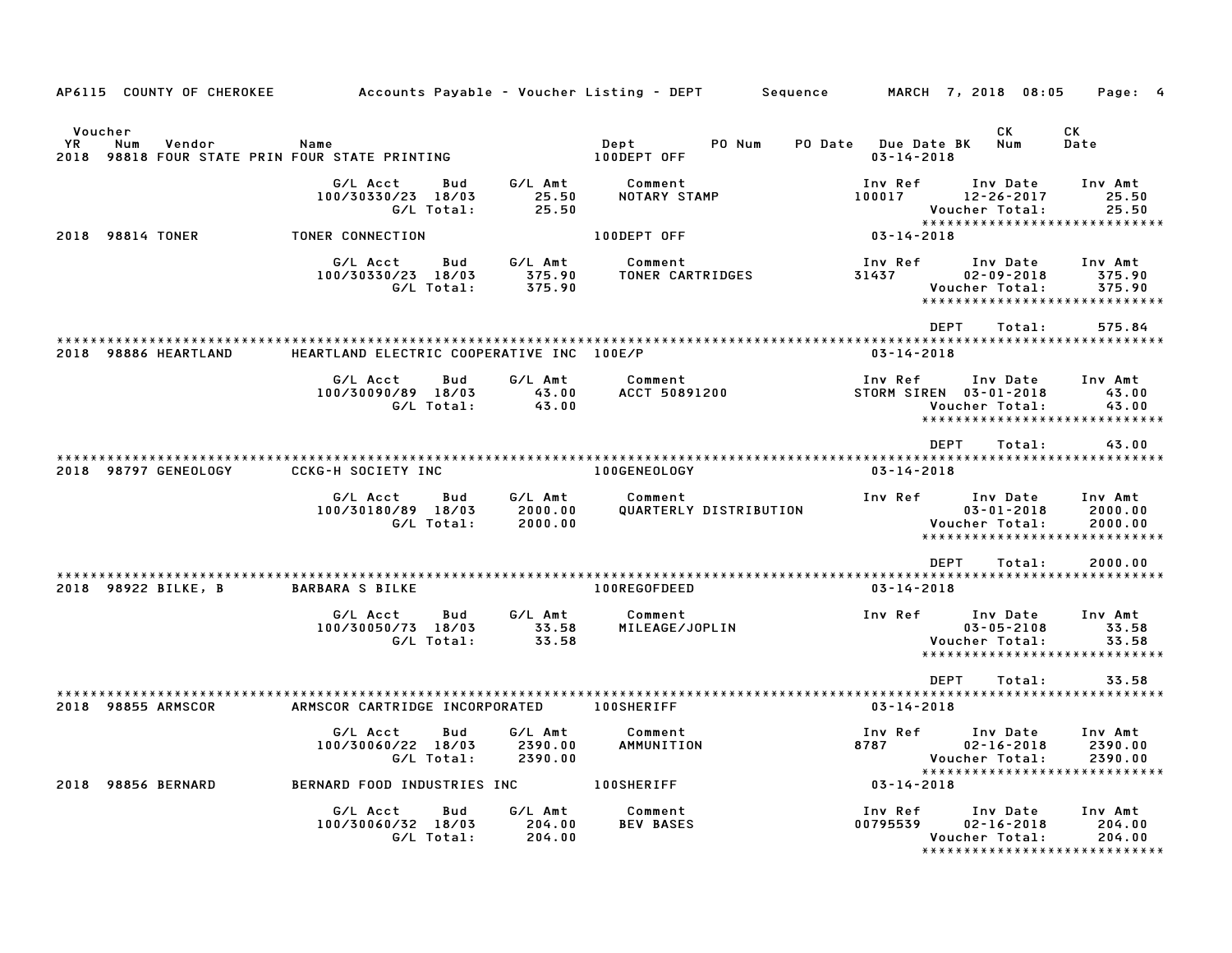| AP6115 COUNTY OF CHEROKEE                                                               |                                                     |                               | Accounts Payable – Voucher Listing – DEPT         Sequence |                                         | MARCH 7, 2018 08:05                                                                   | Page: 4                       |
|-----------------------------------------------------------------------------------------|-----------------------------------------------------|-------------------------------|------------------------------------------------------------|-----------------------------------------|---------------------------------------------------------------------------------------|-------------------------------|
| Voucher<br><b>YR</b><br>Num<br>Vendor<br>2018 98818 FOUR STATE PRIN FOUR STATE PRINTING | Name                                                |                               | Dept<br>PO Num<br>100DEPT OFF                              | PO Date Due Date BK<br>$03 - 14 - 2018$ | CK<br>Num                                                                             | СK<br>Date                    |
|                                                                                         | G/L Acct<br>Bud<br>100/30330/23 18/03<br>G/L Total: | G/L Amt<br>25.50<br>25.50     | Comment<br>NOTARY STAMP                                    | Inv Ref<br>100017                       | Inv Date<br>$12 - 26 - 2017$<br>Voucher Total:<br>*****************************       | Inv Amt<br>25.50<br>25.50     |
| 2018 98814 TONER                                                                        | TONER CONNECTION                                    |                               | 100DEPT OFF                                                | $03 - 14 - 2018$                        |                                                                                       |                               |
|                                                                                         | Bud<br>G/L Acct<br>100/30330/23 18/03<br>G/L Total: | G/L Amt<br>375.90<br>375.90   | Comment<br>TONER CARTRIDGES                                | Inv Ref<br>31437                        | Inv Date<br>$02 - 09 - 2018$<br>Voucher Total:<br>*****************************       | Inv Amt<br>375.90<br>375.90   |
|                                                                                         |                                                     |                               |                                                            | <b>DEPT</b>                             | Total:                                                                                | 575.84                        |
| 2018 98886 HEARTLAND                                                                    | HEARTLAND ELECTRIC COOPERATIVE INC 100E/P           |                               |                                                            | $03 - 14 - 2018$                        |                                                                                       |                               |
|                                                                                         | G/L Acct<br>Bud<br>100/30090/89 18/03<br>G/L Total: | G/L Amt<br>43.00<br>43.00     | Comment<br>ACCT 50891200                                   | Inv Ref                                 | Inv Date<br>STORM SIREN 03-01-2018<br>Voucher Total:<br>***************************** | Inv Amt<br>43.00<br>43.00     |
|                                                                                         |                                                     |                               |                                                            | <b>DEPT</b>                             | Total:                                                                                | 43.00                         |
| 2018 98797 GENEOLOGY                                                                    | <b>CCKG-H SOCIETY INC</b>                           |                               | 100GENEOLOGY                                               | $03 - 14 - 2018$                        |                                                                                       |                               |
|                                                                                         | G/L Acct<br>Bud<br>100/30180/89 18/03<br>G/L Total: | G/L Amt<br>2000.00<br>2000.00 | Comment<br>QUARTERLY DISTRIBUTION                          | Inv Ref                                 | Inv Date<br>$03 - 01 - 2018$<br>Voucher Total:<br>*****************************       | Inv Amt<br>2000.00<br>2000.00 |
|                                                                                         |                                                     |                               |                                                            | <b>DEPT</b>                             | Total:                                                                                | 2000.00                       |
| 2018 98922 BILKE, B                                                                     | <b>BARBARA S BILKE</b>                              |                               | 100REGOFDEED                                               | $03 - 14 - 2018$                        |                                                                                       |                               |
|                                                                                         | G/L Acct<br>Bud<br>100/30050/73 18/03<br>G/L Total: | G/L Amt<br>33.58<br>33.58     | Comment<br>MILEAGE/JOPLIN                                  | Inv Ref                                 | Inv Date<br>$03 - 05 - 2108$<br>Voucher Total:<br>*****************************       | Inv Amt<br>33.58<br>33.58     |
|                                                                                         |                                                     |                               |                                                            | <b>DEPT</b>                             | Total:                                                                                | 33.58                         |
| 2018 98855 ARMSCOR                                                                      | ARMSCOR CARTRIDGE INCORPORATED                      |                               | <b>100SHERIFF</b>                                          | $03 - 14 - 2018$                        |                                                                                       |                               |
|                                                                                         | G/L Acct<br>Bud<br>100/30060/22 18/03<br>G/L Total: | G/L Amt<br>2390.00<br>2390.00 | Comment<br>AMMUNITION                                      | Inv Ref<br>8787                         | Inv Date<br>$02 - 16 - 2018$<br>Voucher Total:<br>*****************************       | Inv Amt<br>2390.00<br>2390.00 |
| 2018 98856 BERNARD                                                                      | BERNARD FOOD INDUSTRIES INC                         |                               | <b>100SHERIFF</b>                                          | $03 - 14 - 2018$                        |                                                                                       |                               |
|                                                                                         | G/L Acct<br>Bud<br>100/30060/32 18/03<br>G/L Total: | G/L Amt<br>204.00<br>204.00   | Comment<br><b>BEV BASES</b>                                | Inv Ref<br>00795539                     | Inv Date<br>$02 - 16 - 2018$<br>Voucher Total:<br>*****************************       | Inv Amt<br>204.00<br>204.00   |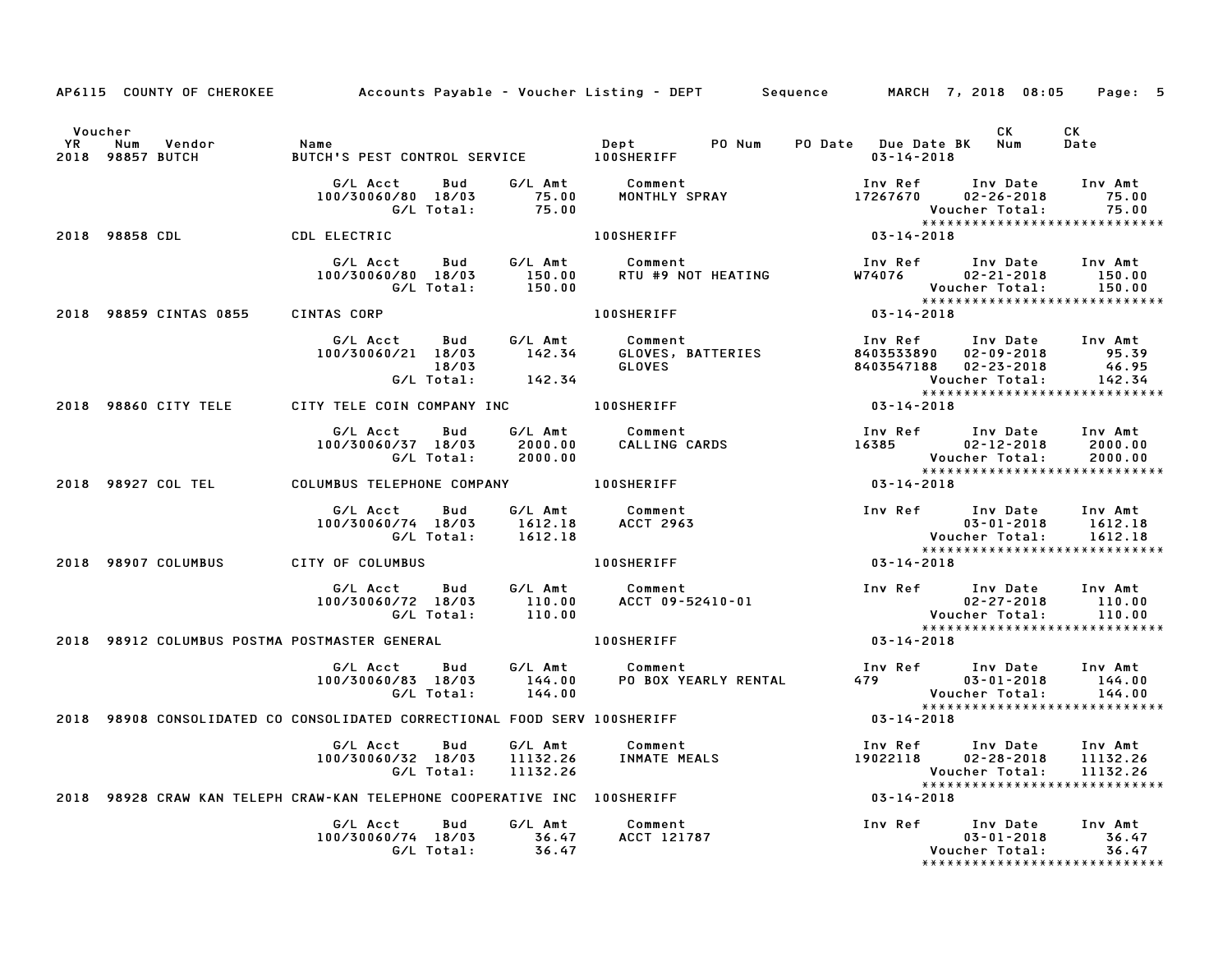|                      |                                               |                                                                                                       |                  |                                                 | AP6115 COUNTY OF CHEROKEE Accounts Payable - Voucher Listing - DEPT Sequence MARCH 7, 2018 08:05                                                                                                                                                                        | Page: 5                            |
|----------------------|-----------------------------------------------|-------------------------------------------------------------------------------------------------------|------------------|-------------------------------------------------|-------------------------------------------------------------------------------------------------------------------------------------------------------------------------------------------------------------------------------------------------------------------------|------------------------------------|
| Voucher<br><b>YR</b> | Num Vendor Name<br>2018 98857 BUTCH           |                                                                                                       |                  |                                                 | CK                                                                                                                                                                                                                                                                      | <b>CK</b><br>Date                  |
|                      |                                               |                                                                                                       |                  |                                                 | 6/L Acct Bud G/L Amt Comment Inv Ref Inv Date<br>100/30060/80 18/03 75.00 MONTHLY SPRAY 17267670 02-26-2018<br>6/L Total: 75.00 100SHERIFF 1003-14-2018<br>100SHERIFF 100SHERIFF 123-14-2018                                                                            | Inv Date Inv Amt<br>75.00<br>75.00 |
|                      | 2018 98858 CDL CDL ELECTRIC                   |                                                                                                       |                  |                                                 |                                                                                                                                                                                                                                                                         |                                    |
|                      |                                               | G/L Acct Bud G/L Amt Comment<br>100/30060/80 18/03 150.00 RTU #9 NO<br>G/L Total: 150.00              |                  |                                                 | Inv Ref      Inv Date     Inv Amt<br>COMMENT<br>RTU #9 NOT HEATING W74076<br>02-21-2018<br>Voucher Total:                                                                                                                                                               | 150.00<br>150.00                   |
|                      | 2018 98859 CINTAS 0855                        | CINTAS CORP <b>COMP</b>                                                                               |                  | <b>100SHERIFF</b>                               | 0.00 Voucher Total: 150<br>******************************<br>03-14-2018                                                                                                                                                                                                 |                                    |
|                      |                                               | G/L Acct Bud G/L Amt Comment<br>100/30060/21 18/03 142.34 GLOVES, BAT<br>18/03                        |                  |                                                 | Comment<br>GLOVES, BATTERIES<br>GLOVES BATTERIES 8403533890 02-09-2018 95.39<br>GLOVES 8403547188 02-23-2018 46.95<br>Voucher Total: 142.34<br>SHERIFF 03-14-2018<br>142.34<br>142.34                                                                                   |                                    |
|                      |                                               | 2018 98860 CITY TELE CITY TELE COIN COMPANY INC <b>100SHERIFF</b>                                     |                  |                                                 |                                                                                                                                                                                                                                                                         |                                    |
|                      |                                               | G/L Acct<br>Bud<br>060/37 18/03 2000.00<br>G/L Total: 2000.00<br>100/30060/37 18/03                   |                  | G/L Amt Comment<br>2000.00 CALLING (            | Voucher Total:<br>******************************                                                                                                                                                                                                                        | 2000.00<br>2000.00                 |
|                      | 2018 98927 COL TEL                            | COLUMBUS TELEPHONE COMPANY <b>100SHERIFF</b>                                                          |                  |                                                 | $03 - 14 - 2018$                                                                                                                                                                                                                                                        |                                    |
|                      |                                               | G/L Acct  Bud  G/L Amt  Comment<br>100/30060/74 18/03  1612.18  ACCT  2963<br>G/L Total: 1612.18      |                  | <b>ACCT 2963</b>                                | *****************************                                                                                                                                                                                                                                           | 1612.18<br>1612.18                 |
|                      | 2018 98907 COLUMBUS                           | CITY OF COLUMBUS                                                                                      |                  | <b>100SHERIFF</b>                               | $03 - 14 - 2018$                                                                                                                                                                                                                                                        |                                    |
|                      |                                               | G/L Acct<br>100/30060/72 18/03<br>G/L Total:                                                          | 110.00           | Bud G/L Amt Comment<br>18/03 110.00 ACCT 09-524 | Comment<br>ACCT 09-52410-01<br>ACCT 09-52410-01<br>ACCT 09-52410-01<br>COMERIFF<br>COMERIFF<br>COMERIFF<br>COMERIFF<br>COMERIFF<br>COMERIFF<br>COMERIFF<br>COMERIFF<br>COMERIFF<br>COMERIFF<br>COMERIFF<br>COMERIFF<br>COMERIFF<br>COMERIFF<br>COMERIFF<br>COMERIFF<br> |                                    |
|                      | 2018 98912 COLUMBUS POSTMA POSTMASTER GENERAL |                                                                                                       |                  | 100SHERIFF                                      |                                                                                                                                                                                                                                                                         |                                    |
|                      |                                               | G/L Acct<br>100/30060/83 18/03<br>G/L Total:                                                          | 144.00<br>144.00 |                                                 | ******************************                                                                                                                                                                                                                                          | 144.00<br>144.00                   |
|                      |                                               | 2018 98908 CONSOLIDATED CO CONSOLIDATED CORRECTIONAL FOOD SERV 100SHERIFF                             |                  |                                                 |                                                                                                                                                                                                                                                                         |                                    |
|                      |                                               | G/L Total:                                                                                            | 11132.26         |                                                 | Inv Ref      Inv Date     Inv Amt<br>G/L Acct Bud G/L Amt Comment Inv Ref Inv Date<br>1902/30060/32 18/03 11132.26 INMATE MEALS 19022118 02-28-2018<br>Voucher Total:<br>******************************                                                                 | 11132.26<br>11132.26               |
|                      |                                               | 2018 98928 CRAW KAN TELEPH CRAW-KAN TELEPHONE COOPERATIVE INC 100SHERIFF                              |                  |                                                 | $03 - 14 - 2018$                                                                                                                                                                                                                                                        |                                    |
|                      |                                               | G/L Acct Bud G/L Amt Comment<br>100/30060/74 18/03 36.47 ACCT 121787<br>G/L Total: 2007<br>G/L Total: | 36.47            | ACCT 121787                                     | Inv Ref Inv Date Inv Amt<br>$03 - 01 - 2018$<br>Voucher Total:<br>******************************                                                                                                                                                                        | 36.47<br>36.47                     |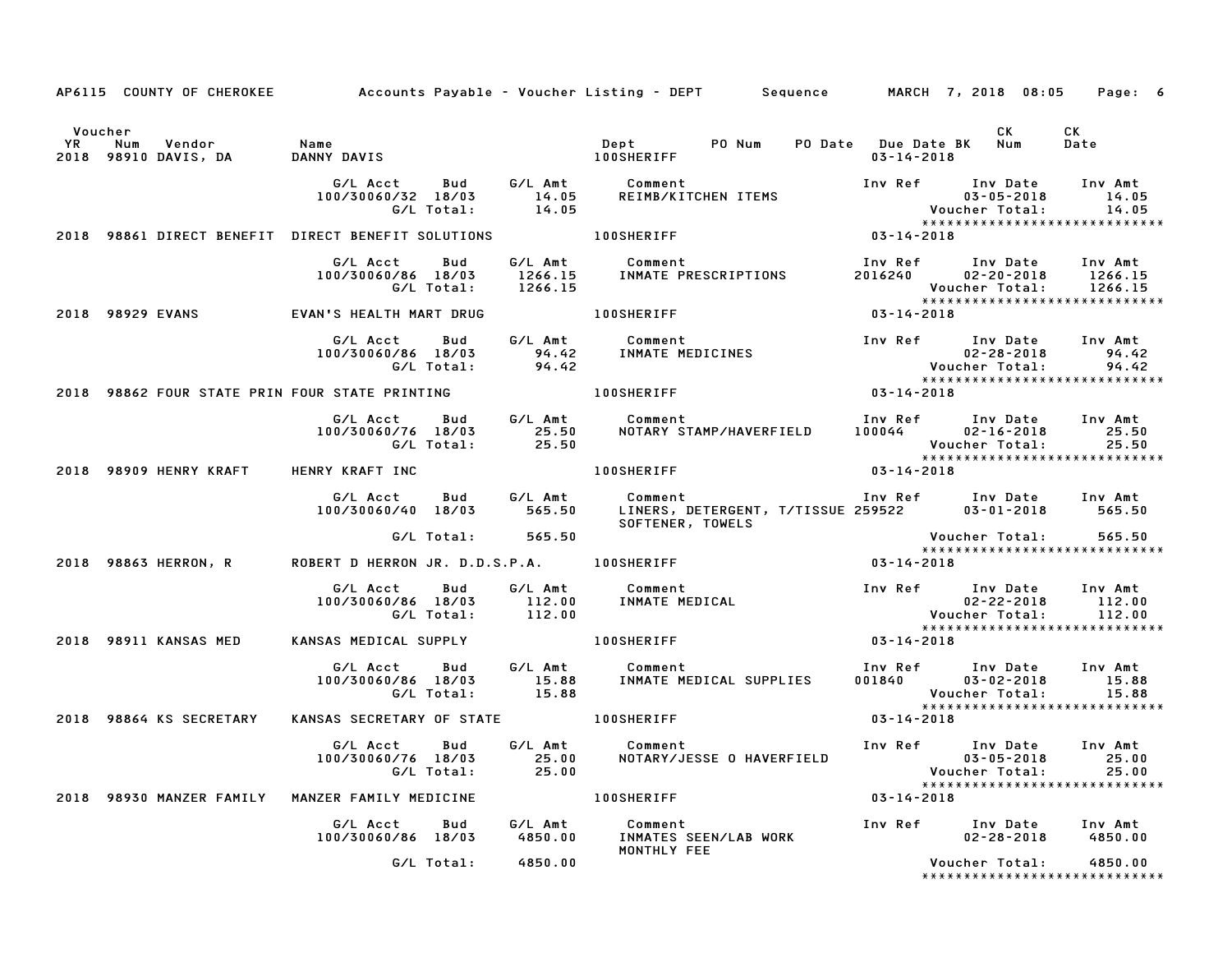|         |                          |                                                                                               |            |                          | AP6115 COUNTY OF CHEROKEE Accounts Payable - Voucher Listing - DEPT Sequence MARCH 7, 2018 08:05 Page: 6                                                                         |                  |                                                                                                                             |                                       |
|---------|--------------------------|-----------------------------------------------------------------------------------------------|------------|--------------------------|----------------------------------------------------------------------------------------------------------------------------------------------------------------------------------|------------------|-----------------------------------------------------------------------------------------------------------------------------|---------------------------------------|
| Voucher |                          |                                                                                               |            |                          |                                                                                                                                                                                  |                  | CK                                                                                                                          | CK<br>Date                            |
|         |                          | G/L Acct Bud G/L Amt Comment<br>100/30060/32 18/03 14.05 REIMB/KIT                            |            | G/L Total: 14.05         | Comment Inv Ref Inv Date Inv Amt Comment<br>REIMB/KITCHEN ITEMS 03-05-2018 14.05<br>Voucher Total: 14.05<br>XXXXXXXXXXXXXXXXXXXXXXXXXXXXX                                        |                  |                                                                                                                             |                                       |
|         |                          | 2018 98861 DIRECT BENEFIT DIRECT BENEFIT SOLUTIONS 100SHERIFF                                 |            |                          |                                                                                                                                                                                  | $03 - 14 - 2018$ |                                                                                                                             |                                       |
|         |                          | G/L Acct Bud<br>100/30060/86 18/03                                                            |            | G/L Total:       1266.15 | G/L Amt          Comment<br>1266.15      INMATE PRESCRIPTIONS                                                                                                                    |                  | Inv Ref      Inv Date     Inv Amt<br>2016240  02-20-2018  1266.15<br>Voucher Total: 1266.15<br>**************************** |                                       |
|         |                          | 2018 98929 EVANS                    EVAN'S HEALTH MART DRUG                        100SHERIFF |            |                          |                                                                                                                                                                                  | $03 - 14 - 2018$ |                                                                                                                             |                                       |
|         |                          |                                                                                               |            |                          | G/L Acct  Bud  G/L Amt  Comment<br>100/30060/86 18/03  94.42  INMATE MEDICINES<br>G/L Total:  94.42                                                                              |                  | Inv Ref Inv Date Inv Amt<br>02-28-2018 94.42<br>Voucher Total: 94.42<br>******************************                      | 02–28–2018 94.42<br>cher Total: 94.42 |
|         |                          | 2018 98862 FOUR STATE PRIN FOUR STATE PRINTING THE RESIDENCE RESIDENCE.                       |            |                          |                                                                                                                                                                                  | $03 - 14 - 2018$ |                                                                                                                             |                                       |
|         |                          |                                                                                               |            |                          | G/L Acct Bud G/L Amt Comment Inv Ref Inv Date Inv Amt<br>100/30060/76 18/03 25.50 NOTARY STAMP/HAVERFIELD 100044 02–16–2018 25.50<br>G/L Total: 25.50 25.50 Woucher Total: 25.50 |                  | Voucher Total: 25.50<br>****************************                                                                        |                                       |
|         |                          | 2018 98909 HENRY KRAFT HENRY KRAFT INC                                                        |            |                          | 100SHERIFF                                                                                                                                                                       | $03 - 14 - 2018$ |                                                                                                                             |                                       |
|         |                          | 100/30060/40 18/03 565.50                                                                     |            |                          | Comment                          Inv Ref     Inv Date    Inv Amt<br>LINERS, DETERGENT, T/TISSUE 259522       03-01-2018     565.50<br>G/L Acct Bud G/L Amt Comment               |                  |                                                                                                                             |                                       |
|         | 2018 98863 HERRON, R     |                                                                                               |            | G/L Total: 565.50        | ROBERT D HERRON JR. D.D.S.P.A. 100SHERIFF 403-14-2018                                                                                                                            |                  |                                                                                                                             |                                       |
|         |                          |                                                                                               |            |                          | G/L Acct Bud G/L Amt Comment 100/30060/86 18/03 112.00<br>100/30060/86 18/03 112.00 INMATEMEDICAL 100/30060/86 18/03 112.00<br>112.00 C/L Total: 112.00 12.00                    |                  | 02-22-2018 112.00<br>Voucher Total: 112.00<br>*****************************                                                 |                                       |
|         | 2018 98911 KANSAS MED    | KANSAS MEDICAL SUPPLY 100SHERIFF                                                              |            |                          |                                                                                                                                                                                  | $03 - 14 - 2018$ |                                                                                                                             |                                       |
|         |                          |                                                                                               |            |                          | G/L Acct Bud G/L Amt Comment<br>100/30060/86 18/03 15.88 INMATE MEDICAL SUPPLIES<br>G/L Total: 15.88                                                                             |                  | Inv Ref Inv Date Inv Amt<br>001840 03-02-2018 15.88<br>Voucher Total: 15.88<br>******************************               |                                       |
|         | 2018 98864 KS SECRETARY  |                                                                                               |            |                          | KANSAS SECRETARY OF STATE 100SHERIFF                                                                                                                                             | $03 - 14 - 2018$ |                                                                                                                             |                                       |
|         |                          | G/L Acct Bud                                                                                  | G/L Total: | 25.00                    | $G/L$ Amt Comment<br>100/30060/76 18/03    25.00   NOTARY/JESSE 0 HAVERFIELD         03-05-2018    25.00                                                                         |                  | Inv Ref      Inv Date     Inv Amt<br>Voucher Total: 25.00<br>******************************                                 |                                       |
|         | 2018 98930 MANZER FAMILY | MANZER FAMILY MEDICINE                                                                        |            |                          | <b>100SHERIFF</b>                                                                                                                                                                | $03 - 14 - 2018$ |                                                                                                                             |                                       |
|         |                          | G/L Acct<br>100/30060/86 18/03                                                                | Bud        | G/L Amt<br>4850.00       | Comment<br>INMATES SEEN/LAB WORK<br>MONTHLY FEE                                                                                                                                  | Inv Ref          | Inv Date<br>$02 - 28 - 2018$                                                                                                | Inv Amt<br>4850.00                    |
|         |                          |                                                                                               | G/L Total: | 4850.00                  |                                                                                                                                                                                  |                  | Voucher Total:<br>*****************************                                                                             | 4850.00                               |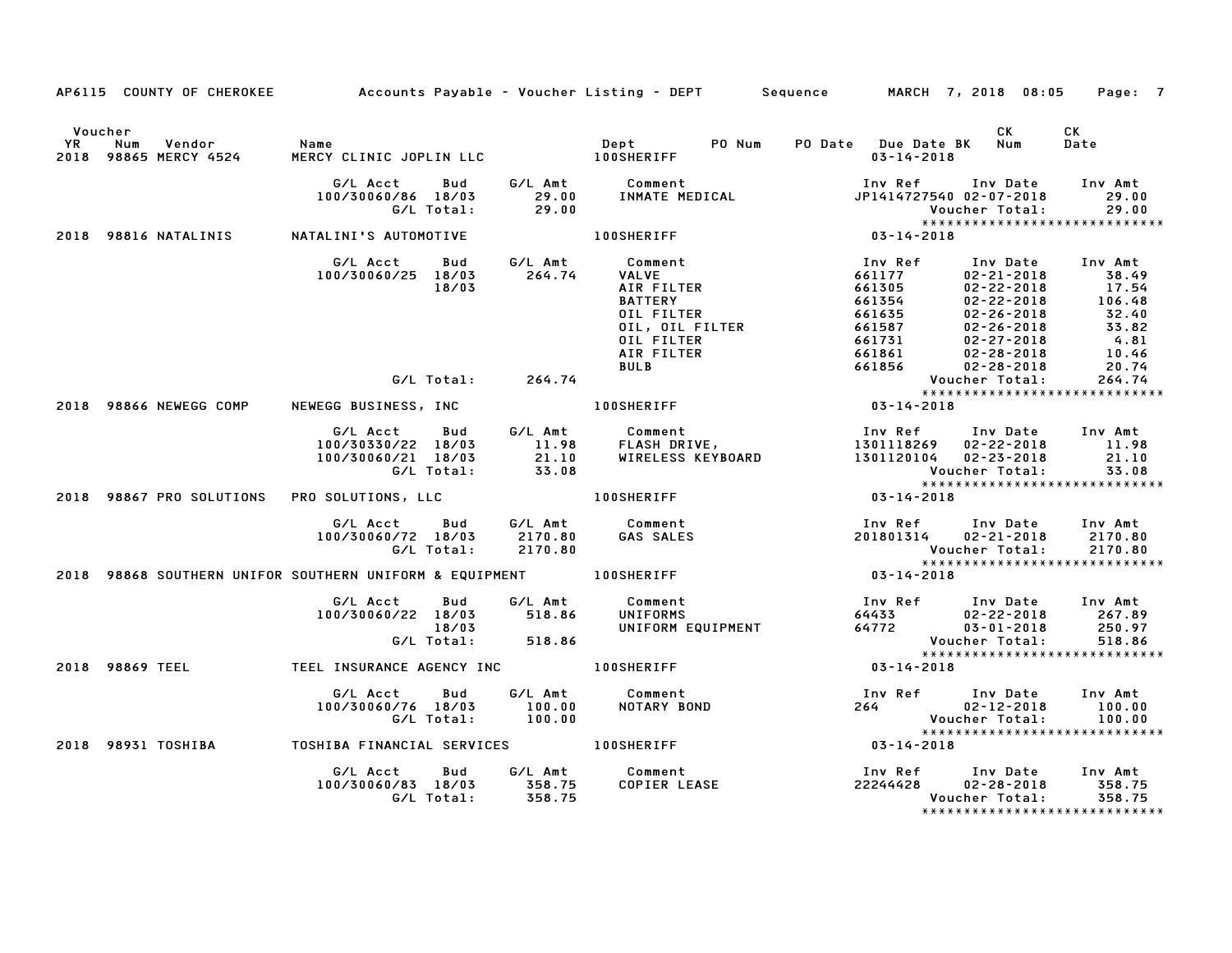|         | AP6115 COUNTY OF CHEROKEE Accounts Payable - Voucher Listing - DEPT Sequence MARCH 7, 2018 08:05 Page: 7                                                                                                                      |                                                                                                                                                                                                                                         |                                                                                                                                                                                                                                                          |                                                                              |            |
|---------|-------------------------------------------------------------------------------------------------------------------------------------------------------------------------------------------------------------------------------|-----------------------------------------------------------------------------------------------------------------------------------------------------------------------------------------------------------------------------------------|----------------------------------------------------------------------------------------------------------------------------------------------------------------------------------------------------------------------------------------------------------|------------------------------------------------------------------------------|------------|
| Voucher |                                                                                                                                                                                                                               |                                                                                                                                                                                                                                         |                                                                                                                                                                                                                                                          | <b>CK</b>                                                                    | CK<br>Date |
|         |                                                                                                                                                                                                                               |                                                                                                                                                                                                                                         |                                                                                                                                                                                                                                                          |                                                                              |            |
|         | 2018 98816 NATALINIS NATALINI'S AUTOMOTIVE TO A LOOSHERIFF                                                                                                                                                                    |                                                                                                                                                                                                                                         | Voucher Total: 29.00<br>*****************************<br>03-14-2018                                                                                                                                                                                      |                                                                              |            |
|         | G/L Acct Bud G/L Amt Comment<br>100/30060/25 18/03 264.74 VALVE<br>18/03 AIR FILTER<br>18/03                                                                                                                                  |                                                                                                                                                                                                                                         | 011 FILTER<br>NALVE<br>COMMENTER AIR FILTER<br>AIR FILTER<br>DIL FILTER<br>SATTERY<br>OIL FILTER 661354<br>OIL FILTER 661354<br>OIL FILTER 661355<br>OIL FILTER 661587<br>OIL FILTER 661587<br>OIL FILTER 661587<br>OIL FILTER 661861<br>OIL FILTER 6618 |                                                                              |            |
|         | G/L Total: 264.74                                                                                                                                                                                                             |                                                                                                                                                                                                                                         | Voucher Total: 264.74<br>****************************                                                                                                                                                                                                    |                                                                              |            |
|         |                                                                                                                                                                                                                               |                                                                                                                                                                                                                                         |                                                                                                                                                                                                                                                          |                                                                              |            |
|         |                                                                                                                                                                                                                               | 6/LAcct Bud G/LAmt Comment Inv Ref Inv Date Inv Amt<br>100/30330/22 18/03 11.98 FLASH DRIVE, 1301118269 02–22–2018 11.98<br>100/30060/21 18/03 21.10 WIRELESS KEYBOARD 1301120104 02–23–2018 21.10<br>6/LTotal: 33.08 Voucher Total: 33 | VOUCNer lutai.<br>***************************                                                                                                                                                                                                            |                                                                              |            |
|         | 2018 98867 PRO SOLUTIONS PRO SOLUTIONS, LLC  and the set of the set of the set of the set of the set of the set of the set of the set of the set of the set of the set of the set of the set of the set of the set of the set |                                                                                                                                                                                                                                         |                                                                                                                                                                                                                                                          |                                                                              |            |
|         | G/L Acct  Bud  G/L Amt  Comment<br>100/30060/72 18/03  2170.80  GAS SALES<br>G/L Total: 2170.80                                                                                                                               | <b>GAS SALES</b>                                                                                                                                                                                                                        | Voucher Total: 2170.80<br>****************************                                                                                                                                                                                                   | Inv Ref       Inv Date     Inv Amt<br>201801314      02–21–2018      2170.80 |            |
|         | 2018 98868 SOUTHERN UNIFOR SOUTHERN UNIFORM & EQUIPMENT 100SHERIFF 7 2018 03-14-2018                                                                                                                                          |                                                                                                                                                                                                                                         |                                                                                                                                                                                                                                                          |                                                                              |            |
|         | G/L Acct  Bud  G/L Amt  Comment<br>100/30060/22 18/03  518.86  UNIFORMS<br>18/03<br>G/L Total: 518.86                                                                                                                         |                                                                                                                                                                                                                                         | Voucher Total:<br>****************<br>03-14-2018                                                                                                                                                                                                         | *****************************                                                | 518.86     |
|         | 2018 98869 TEEL TEEL INSURANCE AGENCY INC TOOSHERIFF                                                                                                                                                                          |                                                                                                                                                                                                                                         |                                                                                                                                                                                                                                                          |                                                                              |            |
|         | G/L Acct  Bud  G/L Amt  Comment<br>100/30060/76  18/03  100.00  NOTARY  BO<br>G/L Total:  100.00                                                                                                                              | NOTARY BOND                                                                                                                                                                                                                             |                                                                                                                                                                                                                                                          |                                                                              |            |
|         | 2018 98931 TOSHIBA   TOSHIBA FINANCIAL SERVICES   100SHERIFF                                                                                                                                                                  |                                                                                                                                                                                                                                         |                                                                                                                                                                                                                                                          |                                                                              |            |
|         |                                                                                                                                                                                                                               |                                                                                                                                                                                                                                         |                                                                                                                                                                                                                                                          |                                                                              |            |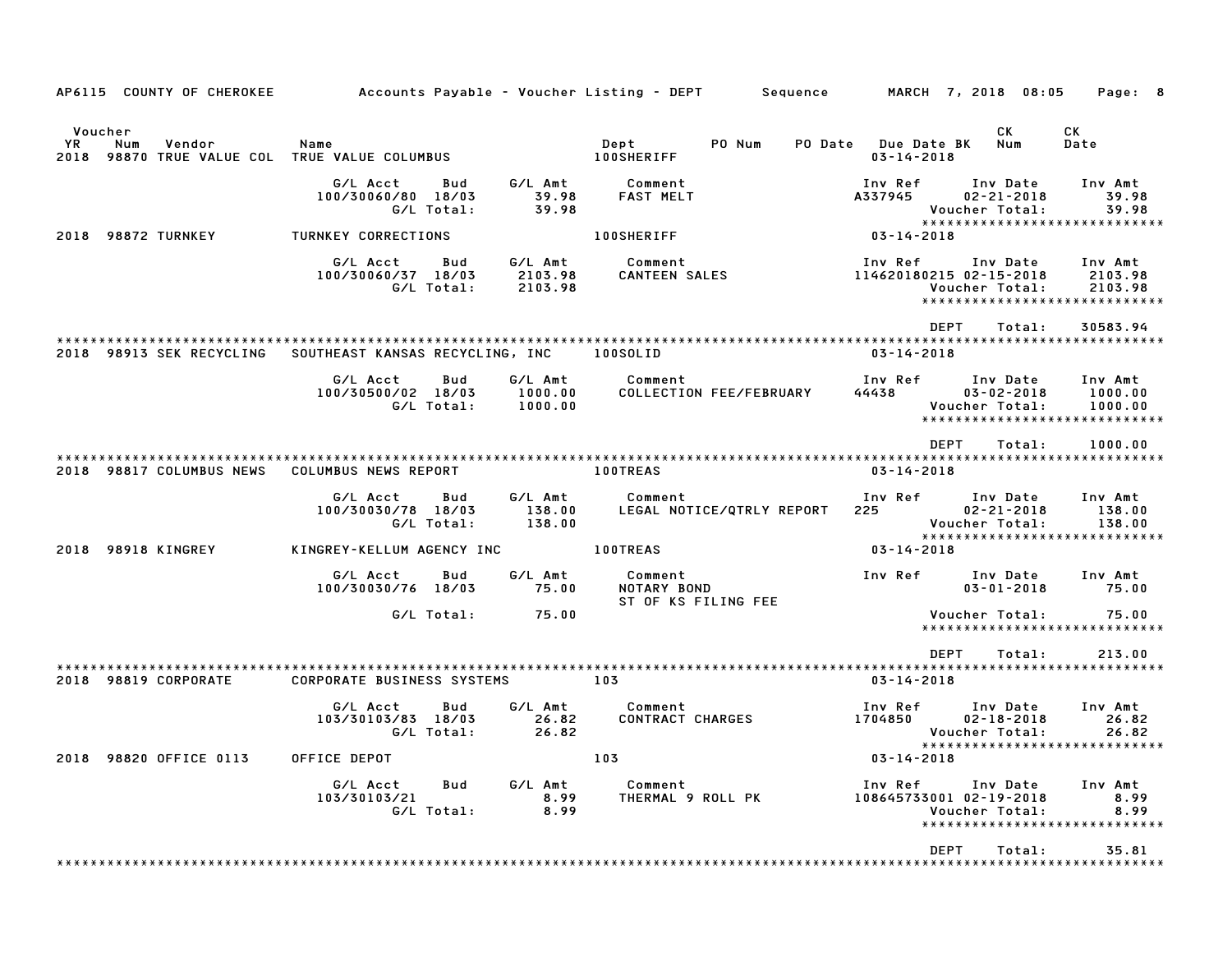| AP6115 COUNTY OF CHEROKEE               |                                                     |                               | Accounts Payable – Voucher Listing – DEPT         Sequence |                                        | MARCH 7, 2018 08:05                              | Page: 8                                                        |
|-----------------------------------------|-----------------------------------------------------|-------------------------------|------------------------------------------------------------|----------------------------------------|--------------------------------------------------|----------------------------------------------------------------|
| Voucher<br>YR.<br>Num<br>Vendor<br>2018 | Name<br>98870 TRUE VALUE COL TRUE VALUE COLUMBUS    |                               | PO Num<br>Dept<br>PO Date<br><b>100SHERIFF</b>             | <b>Due Date BK</b><br>$03 - 14 - 2018$ | СK<br>Num                                        | СK<br>Date                                                     |
|                                         | G/L Acct<br>Bud<br>100/30060/80 18/03<br>G/L Total: | G/L Amt<br>39.98<br>39.98     | Comment<br><b>FAST MELT</b>                                | Inv Ref<br>A337945                     | Inv Date<br>$02 - 21 - 2018$<br>Voucher Total:   | Inv Amt<br>39.98<br>39.98                                      |
| 2018 98872 TURNKEY                      | TURNKEY CORRECTIONS                                 |                               | <b>100SHERIFF</b>                                          | $03 - 14 - 2018$                       |                                                  | *****************************                                  |
|                                         | G/L Acct<br>Bud<br>100/30060/37 18/03<br>G/L Total: | G/L Amt<br>2103.98<br>2103.98 | Comment<br><b>CANTEEN SALES</b>                            | Inv Ref<br>114620180215 02-15-2018     | Inv Date<br>Voucher Total:                       | Inv Amt<br>2103.98<br>2103.98<br>***************************** |
|                                         |                                                     |                               |                                                            | <b>DEPT</b>                            | Total:                                           | 30583.94                                                       |
| 2018 98913 SEK RECYCLING                | SOUTHEAST KANSAS RECYCLING, INC                     |                               | 100SOLID                                                   | $03 - 14 - 2018$                       |                                                  |                                                                |
|                                         | G/L Acct<br>Bud<br>100/30500/02 18/03<br>G/L Total: | G/L Amt<br>1000.00<br>1000.00 | Comment<br>COLLECTION FEE/FEBRUARY                         | Inv Ref<br>44438                       | Inv Date<br>$03 - 02 - 2018$<br>Voucher Total:   | Inv Amt<br>1000.00<br>1000.00<br>***************************** |
|                                         |                                                     |                               |                                                            | <b>DEPT</b>                            | Total:                                           | 1000.00                                                        |
| 2018 98817 COLUMBUS NEWS                | COLUMBUS NEWS REPORT                                |                               | 100TREAS                                                   | $03 - 14 - 2018$                       |                                                  |                                                                |
|                                         | G/L Acct<br>Bud<br>100/30030/78 18/03<br>G/L Total: | G/L Amt<br>138.00<br>138.00   | Comment<br>LEGAL NOTICE/QTRLY REPORT                       | Inv Ref<br>225                         | Inv Date<br>$02 - 21 - 2018$<br>Voucher Total:   | Inv Amt<br>138.00<br>138.00                                    |
| 2018 98918 KINGREY                      | KINGREY-KELLUM AGENCY INC                           |                               | <b>100TREAS</b>                                            | $03 - 14 - 2018$                       |                                                  | ****************************                                   |
|                                         | G/L Acct<br>Bud<br>100/30030/76 18/03               | G/L Amt<br>75.00              | Comment<br>NOTARY BOND<br>ST OF KS FILING FEE              | Inv Ref                                | Inv Date<br>$03 - 01 - 2018$                     | Inv Amt<br>75.00                                               |
|                                         | G/L Total:                                          | 75.00                         |                                                            |                                        | Voucher Total:                                   | 75.00<br>*****************************                         |
|                                         |                                                     |                               |                                                            | <b>DEPT</b>                            | Total:                                           | 213.00                                                         |
| 2018 98819 CORPORATE                    | <b>CORPORATE BUSINESS SYSTEMS</b>                   |                               | 103                                                        | $03 - 14 - 2018$                       |                                                  |                                                                |
|                                         | G/L Acct<br>Bud<br>103/30103/83 18/03<br>G/L Total: | G/L Amt<br>26.82<br>26.82     | Comment<br>CONTRACT CHARGES                                | Inv Ref<br>1704850                     | Inv Date<br>$02 - 18 - 2018$<br>Voucher Total:   | Inv Amt<br>26.82<br>26.82                                      |
| 2018 98820 OFFICE 0113                  | OFFICE DEPOT                                        |                               | 103                                                        | $03 - 14 - 2018$                       |                                                  | *****************************                                  |
|                                         | G/L Acct<br>Bud<br>103/30103/21<br>G/L Total:       | G/L Amt<br>8.99<br>8.99       | Comment<br>THERMAL 9 ROLL PK                               | Inv Ref<br>108645733001 02-19-2018     | Inv Date<br>Voucher Total:<br>****************** | Inv Amt<br>8.99<br>8.99<br>*************                       |
|                                         |                                                     |                               |                                                            | <b>DEPT</b>                            | Total:                                           | 35.81                                                          |
|                                         |                                                     |                               |                                                            |                                        |                                                  |                                                                |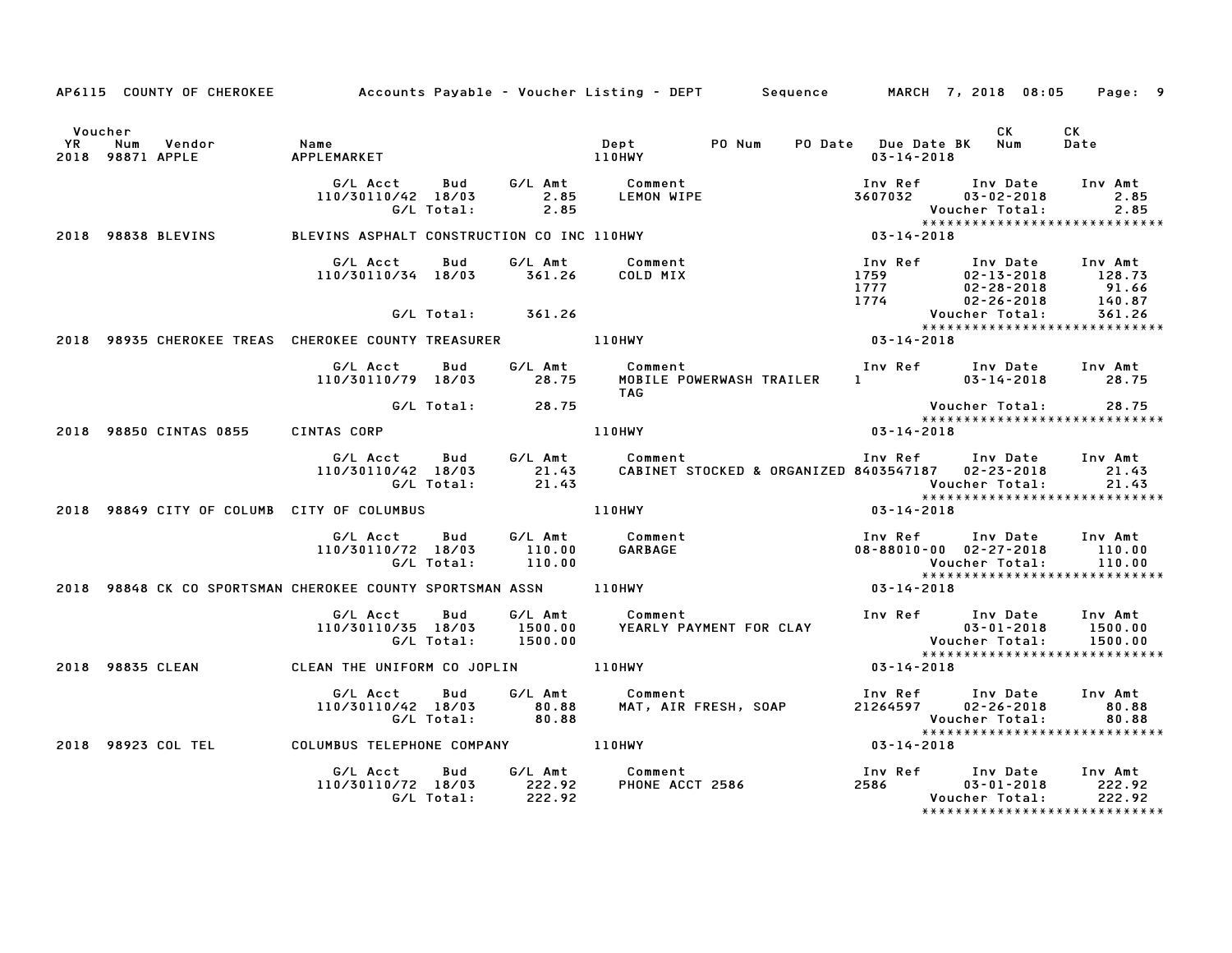|         |                                                    | AP6115 COUNTY OF CHEROKEE Accounts Payable - Voucher Listing - DEPT Sequence MARCH 7, 2018 08:05 Page: 9 |            |                   |                                                                                                                                                                                  |                            |                                   |                                                                                                                                    |                           |
|---------|----------------------------------------------------|----------------------------------------------------------------------------------------------------------|------------|-------------------|----------------------------------------------------------------------------------------------------------------------------------------------------------------------------------|----------------------------|-----------------------------------|------------------------------------------------------------------------------------------------------------------------------------|---------------------------|
| Voucher | است<br>2018 98871 APPLE APPLEMARKFT<br>APPLEMARKFT |                                                                                                          |            |                   |                                                                                                                                                                                  |                            | $03 - 14 - 2018$                  | <b>CK</b><br>PO Date Due Date BK Num                                                                                               | CK<br>Date                |
|         |                                                    | G/L Acct Bud<br>110/30110/42 18/03                                                                       | G/L Total: | 2.85              |                                                                                                                                                                                  |                            | 3607032                           | Inv Ref Inv Date<br>03-02-2018<br>Voucher Total: 2.85<br>****************************                                              | Inv Amt<br>2.85<br>2.85   |
|         | 2018 98838 BLEVINS                                 | BLEVINS ASPHALT CONSTRUCTION CO INC 110HWY                                                               |            |                   |                                                                                                                                                                                  |                            | Vouc<br>* * * *<br>14 - 2018 - 03 |                                                                                                                                    |                           |
|         |                                                    | 110/30110/34 18/03 361.26                                                                                |            |                   | G/L Acct - Bud - G/L Amt - Comment -<br>COLD MIX                                                                                                                                 |                            |                                   | Inv Ref      Inv Date     Inv Amt                                                                                                  |                           |
|         |                                                    |                                                                                                          |            | G/L Total: 361.26 |                                                                                                                                                                                  |                            |                                   |                                                                                                                                    |                           |
|         |                                                    | 2018 98935 CHEROKEE TREAS CHEROKEE COUNTY TREASURER 110HWY                                               |            |                   |                                                                                                                                                                                  |                            | $03 - 14 - 2018$                  |                                                                                                                                    |                           |
|         |                                                    | G/L Acct Bud<br>110/30110/79 18/03                                                                       |            | 28.75             | G/L Amt Comment<br><b>TAG</b>                                                                                                                                                    | MOBILE POWERWASH TRAILER   |                                   |                                                                                                                                    |                           |
|         |                                                    |                                                                                                          | G/L Total: | 28.75             |                                                                                                                                                                                  |                            |                                   | Voucher Total: 28.75                                                                                                               |                           |
|         | 2018 98850 CINTAS 0855                             | CINTAS CORP                                                                                              |            |                   | 110HWY                                                                                                                                                                           |                            | $03 - 14 - 2018$                  | *****************************                                                                                                      |                           |
|         |                                                    | G/L Acct Bud<br>110/30110/42 18/03                                                                       | G/L Total: |                   |                                                                                                                                                                                  |                            |                                   | Inv Ref Inv Date                                                                                                                   | Inv Amt<br>21.43<br>21.43 |
|         |                                                    | 2018 98849 CITY OF COLUMB CITY OF COLUMBUS THE RESERVENT RELATIONARY                                     |            |                   |                                                                                                                                                                                  |                            | 03-14-2018                        | *****************************                                                                                                      |                           |
|         |                                                    | G/L Acct Bud<br>110/30110/72 18/03                                                                       | G/L Total: | 110.00<br>110.00  | G/L Amt Comment<br>110.00 GARBAGE                                                                                                                                                | comment<br>GARBAGE         |                                   | Inv Ref Inv Date Inv Amt<br>08-88010-00 02-27-2018 110.00<br>Voucher Total:                                                        | 110.00                    |
|         |                                                    | 2018 98848 CK CO SPORTSMAN CHEROKEE COUNTY SPORTSMAN ASSN ______________________                         |            |                   |                                                                                                                                                                                  |                            | $03 - 14 - 2018$                  |                                                                                                                                    |                           |
|         |                                                    |                                                                                                          |            |                   | ⊌اس G/L Amt Comment Inv Ref Inv Date Inv Amt دری Data Comment Inv Ref Inv Date Inv Amt<br>1900.00 VEARLY PAYMENT FOR CLAY 1509-01-2018 1500.00<br>1900.00 Voucher Total: 1500.00 |                            |                                   |                                                                                                                                    | 1500.00<br>1500.00        |
|         | 2018 98835 CLEAN                                   | CLEAN THE UNIFORM CO JOPLIN 110HWY                                                                       |            |                   |                                                                                                                                                                                  |                            | $03 - 14 - 2018$                  |                                                                                                                                    |                           |
|         |                                                    | G/L Acct   Bud                                                                                           |            |                   | G/L Amt Comment<br>110/30110/42 18/03 80.88 MAT, AIR FRESH, SOAP<br>G/L Total: 80.88 MAT, AIR FRESH, SOAP                                                                        |                            |                                   | Inv Ref      Inv Date    Inv Amt<br>21264597      02–26–2018         80.88<br>Voucher Total: 80.88<br>**************************** | 80.88                     |
|         |                                                    | 2018 98923 COL TEL COLUMBUS TELEPHONE COMPANY 110HWY                                                     |            |                   |                                                                                                                                                                                  |                            | $03 - 14 - 2018$                  |                                                                                                                                    |                           |
|         |                                                    | G/L Acct<br>110/30110/72 18/03 222.92                                                                    | Bud        | G/L Total: 222.92 | G/L Amt Comment                                                                                                                                                                  | Comment<br>PHONE ACCT 2586 | 2586 700                          | Inv Ref      Inv Date     Inv Amt<br>03-01-2018<br>Voucher Total:<br>*****************************                                 | 222.92<br>222.92          |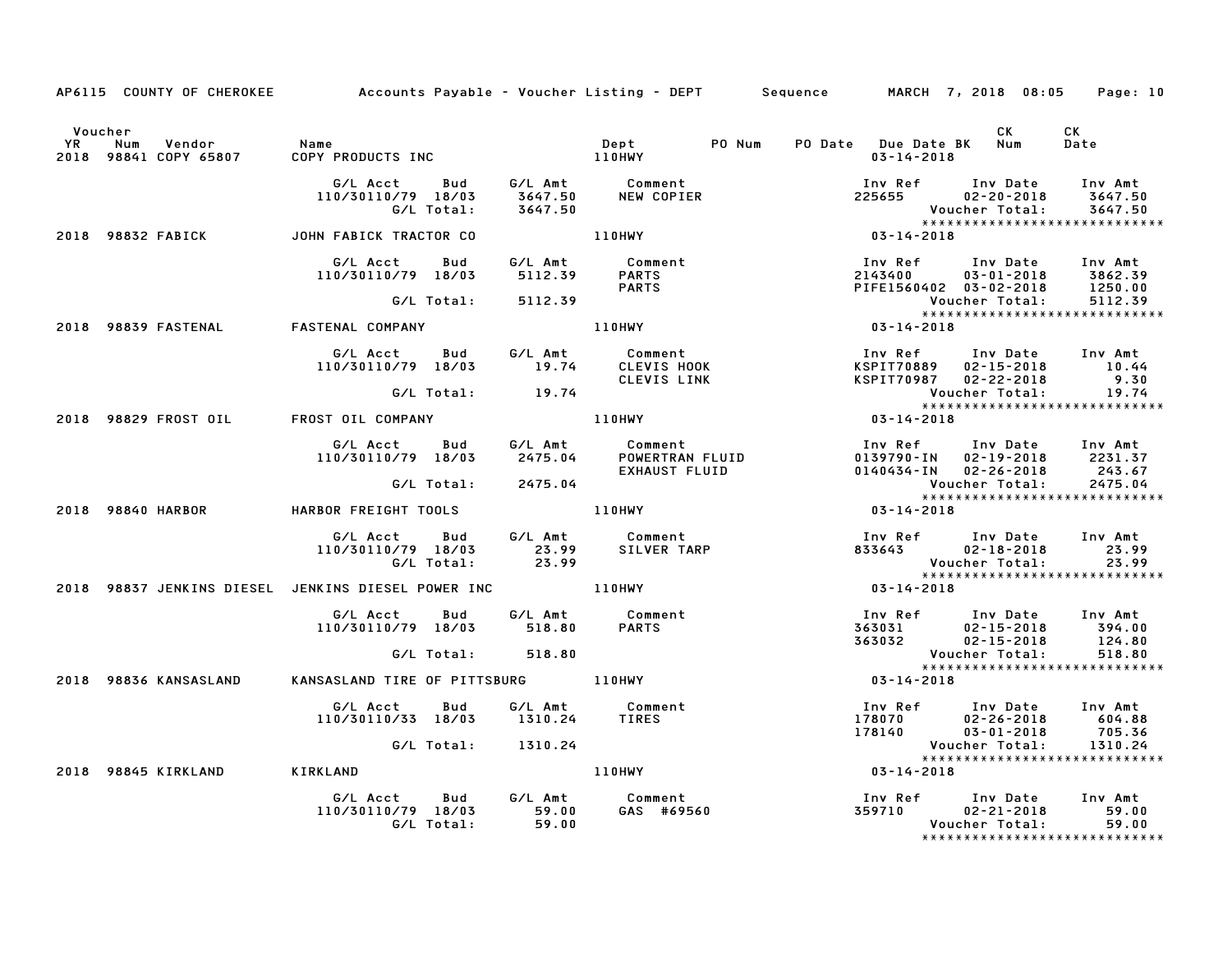|               |                                        |                                                                                                                |          |                                                                                                                                    | AP6115 COUNTY OF CHEROKEE Accounts Payable - Voucher Listing - DEPT Sequence MARCH 7, 2018 08:05                                                          | Page: 10                                 |
|---------------|----------------------------------------|----------------------------------------------------------------------------------------------------------------|----------|------------------------------------------------------------------------------------------------------------------------------------|-----------------------------------------------------------------------------------------------------------------------------------------------------------|------------------------------------------|
| Voucher<br>YR | Vendor<br>Num<br>2018 98841 COPY 65807 | Name<br>COPY PRODUCTS INC                                                                                      |          | PO Num<br><b>Dept</b><br><b>110HWY</b>                                                                                             | CK<br>PO Date Due Date BK Num<br>$03 - 14 - 2018$                                                                                                         | CK<br>Date                               |
|               |                                        | 110/30110/79 18/03<br>G/L Total:                                                                               | 3647.50  |                                                                                                                                    | Inv Ref Inv Date Inv Amt<br>225655 02–20–2018 3647.50<br>Voucher Total: 3647.50<br>******************************                                         |                                          |
|               |                                        | 2018 98832 FABICK JOHN FABICK TRACTOR CO                                                                       |          | 110HWY                                                                                                                             | $03 - 14 - 2018$                                                                                                                                          |                                          |
|               |                                        | G/L Acct<br>Bud<br>110/30110/79 18/03                                                                          |          | G/L Amt         Comment<br>5112.39        PARTS<br><b>PARTS</b>                                                                    | 1nv Ref        Inv Date     Inv Amt<br>2143400         03–01–2018      3862.39<br>PIFE1560402   03–02–2018       1250.00<br>Voucher Total:        5112.39 |                                          |
|               |                                        | G/L Total: 5112.39                                                                                             |          |                                                                                                                                    |                                                                                                                                                           |                                          |
|               | 2018 98839 FASTENAL                    | FASTENAL COMPANY                                                                                               |          | 110HWY <b>Album</b>                                                                                                                | $03 - 14 - 2018$                                                                                                                                          |                                          |
|               |                                        | G/L Acct Bud<br>110/30110/79 18/03 19.74                                                                       |          | G/L Amt Comment                                                                                                                    | HWY<br>Comment Inv Ker<br>CLEVIS HOOK KSPIT70889 02-15-∠v⊥<br>CLEVIS LINK KSPIT70987 02-22-2018 7.                                                        |                                          |
|               |                                        | G/L Total: 19.74                                                                                               |          |                                                                                                                                    |                                                                                                                                                           |                                          |
|               |                                        | 2018 98829 FROST OIL FROST OIL COMPANY                                                                         |          | 110HWY                                                                                                                             |                                                                                                                                                           |                                          |
|               |                                        |                                                                                                                |          | G/L Acct       Bud        G/L Amt          Comment<br>110/30110/79   18/03        2475.04         POWERTRAN FLUID<br>EXHAUST FLUID | Inv Ref Inv Date Inv Amt<br>0139790-IN 02-19-2018 2231.37<br>0140434-IN 02-26-2018 243.67                                                                 |                                          |
|               |                                        | G/L Total: 2475.04                                                                                             |          |                                                                                                                                    | Voucher Total:                                                                                                                                            | 2475.04                                  |
|               | 2018 98840 HARBOR                      | HARBOR FREIGHT TOOLS AND MUNICIPAL MARIA AND MUNICIPAL METALLIC METALLIC METALLIC METALLIC METALLIC METALLIC M |          |                                                                                                                                    | $03 - 14 - 2018$                                                                                                                                          |                                          |
|               |                                        | G/L Acct Bud G/L Amt Comment<br>110/30110/79 18/03 23.99 SILVER TARP<br>G/L Total: 23.99                       |          | SILVER TARP                                                                                                                        | Voucher Total:                                                                                                                                            | 23.99<br>23.99                           |
|               |                                        | 2018 98837 JENKINS DIESEL JENKINS DIESEL POWER INC ______________________________                              |          |                                                                                                                                    | $03 - 14 - 2018$                                                                                                                                          |                                          |
|               |                                        | G/L Acct Bud<br>110/30110/79 18/03 518.80                                                                      |          | G/L Amt Comment<br><b>PARTS</b>                                                                                                    |                                                                                                                                                           |                                          |
|               |                                        | G/L Total: 518.80                                                                                              |          |                                                                                                                                    | Voucher Total:                                                                                                                                            | 518.80<br>*****************************  |
|               | 2018 98836 KANSASLAND                  | KANSASLAND TIRE OF PITTSBURG 110HWY                                                                            |          |                                                                                                                                    | $03 - 14 - 2018$                                                                                                                                          |                                          |
|               |                                        | G/L Acct<br>Bud<br>110/30110/33 18/03                                                                          |          | G/L Amt Comment<br>1310.24 TIRES                                                                                                   | 100 Ref 100 Date 100 Amt<br>178070 02-26-2018 604.88<br>178140 03-01-2018 705.36<br>Voucher Total: 1310.24                                                |                                          |
|               |                                        | G/L Total: 1310.24                                                                                             |          |                                                                                                                                    |                                                                                                                                                           |                                          |
|               | 2018 98845 KIRKLAND                    | <b>KIRKLAND</b>                                                                                                |          | 110HWY                                                                                                                             | $03 - 14 - 2018$                                                                                                                                          | *****************************            |
|               |                                        | G/L Acct Bud G/L Amt Comment<br>110/30110/79 18/03 59.00 GAS #6956<br>G/L Total:                               | $-59.00$ | GAS #69560                                                                                                                         | Inv Ref        Inv Date      Inv Amt<br>359710          02–21–2018          59.00                                                                         | 02-21-2018 59.00<br>Voucher Total: 59.00 |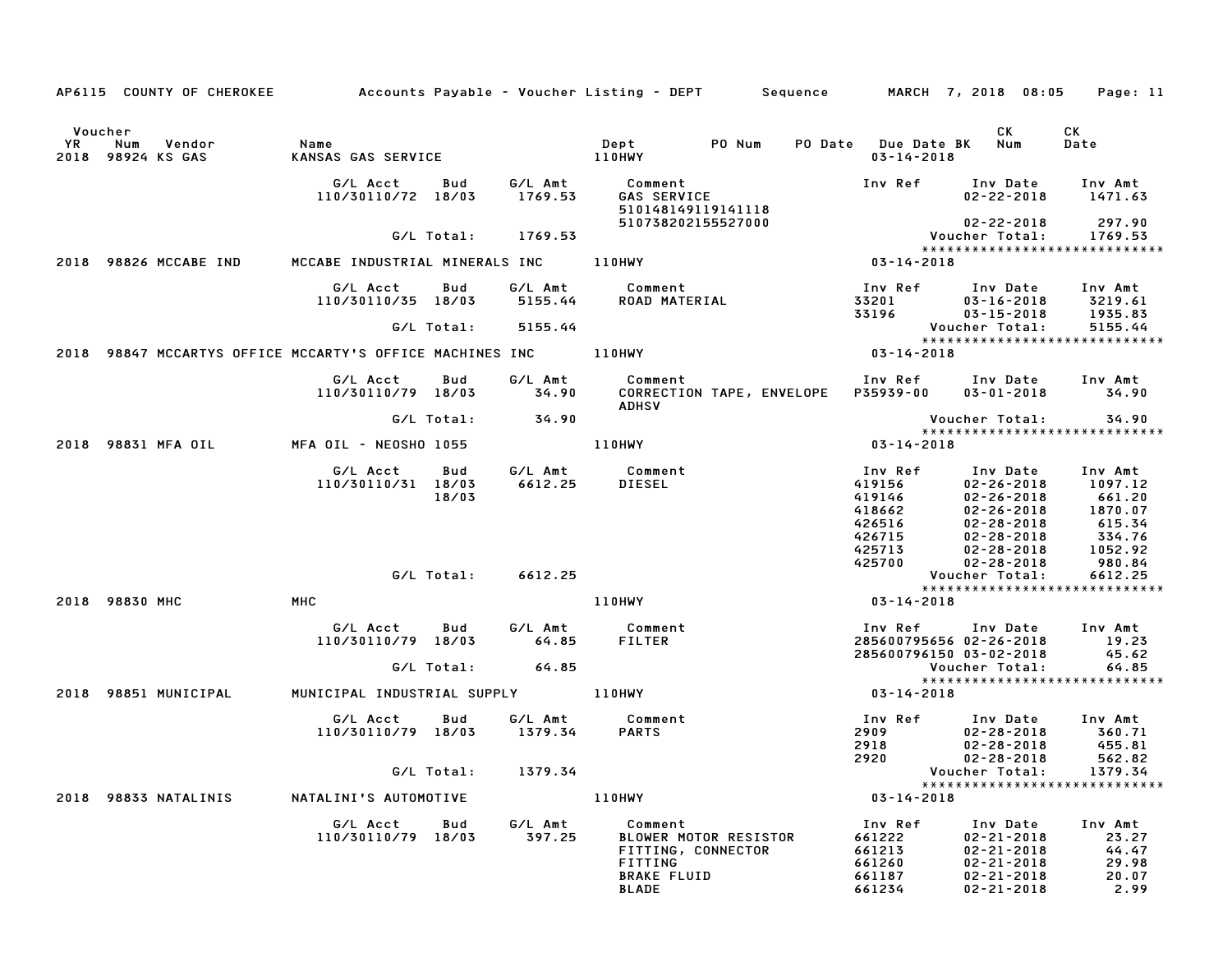|               | AP6115 COUNTY OF CHEROKEE                                |                                |              |                    | Accounts Payable – Voucher Listing – DEPT        Sequence                                               |                                                                     | MARCH 7, 2018 08:05                                                                                                              | Page: 11                                                               |
|---------------|----------------------------------------------------------|--------------------------------|--------------|--------------------|---------------------------------------------------------------------------------------------------------|---------------------------------------------------------------------|----------------------------------------------------------------------------------------------------------------------------------|------------------------------------------------------------------------|
| Voucher<br>YR | Num<br>Vendor<br>2018 98924 KS GAS                       | Name<br>KANSAS GAS SERVICE     |              |                    | Dept<br>PO Num<br>110HWY                                                                                | <b>PO Date</b> Due Date BK<br>$03 - 14 - 2018$                      | CK<br>Num                                                                                                                        | СK<br>Date                                                             |
|               |                                                          | G/L Acct<br>110/30110/72 18/03 | Bud          | G/L Amt<br>1769.53 | Comment<br><b>GAS SERVICE</b><br>510148149119141118                                                     | Inv Ref                                                             | Inv Date<br>$02 - 22 - 2018$                                                                                                     | Inv Amt<br>1471.63                                                     |
|               |                                                          |                                | G/L Total:   | 1769.53            | 510738202155527000                                                                                      |                                                                     | $02 - 22 - 2018$<br>Voucher Total:                                                                                               | 297.90<br>1769.53<br>*****************************                     |
|               | 2018 98826 MCCABE IND                                    | MCCABE INDUSTRIAL MINERALS INC |              |                    | 110HWY                                                                                                  | $03 - 14 - 2018$                                                    |                                                                                                                                  |                                                                        |
|               |                                                          | G/L Acct<br>110/30110/35 18/03 | Bud          | G/L Amt<br>5155.44 | Comment<br>ROAD MATERIAL                                                                                | Inv Ref<br>33201<br>33196                                           | Inv Date<br>$03 - 16 - 2018$<br>$03 - 15 - 2018$                                                                                 | Inv Amt<br>3219.61<br>1935.83                                          |
|               |                                                          |                                | G/L Total:   | 5155.44            |                                                                                                         |                                                                     | Voucher Total:                                                                                                                   | 5155.44<br>*****************************                               |
|               | 2018 98847 MCCARTYS OFFICE MCCARTY'S OFFICE MACHINES INC |                                |              |                    | 110HWY                                                                                                  | $03 - 14 - 2018$                                                    |                                                                                                                                  |                                                                        |
|               |                                                          | G/L Acct<br>110/30110/79 18/03 | Bud          | G/L Amt<br>34.90   | Comment<br>CORRECTION TAPE, ENVELOPE<br><b>ADHSV</b>                                                    | Inv Ref<br>P35939-00                                                | Inv Date<br>$03 - 01 - 2018$                                                                                                     | Inv Amt<br>34.90                                                       |
|               |                                                          |                                | G/L Total:   | 34.90              |                                                                                                         |                                                                     | Voucher Total:                                                                                                                   | 34.90<br>*****************************                                 |
|               | 2018 98831 MFA OIL                                       | MFA OIL - NEOSHO 1055          |              |                    | 110HWY                                                                                                  | $03 - 14 - 2018$                                                    |                                                                                                                                  |                                                                        |
|               |                                                          | G/L Acct<br>110/30110/31 18/03 | Bud<br>18/03 | G/L Amt<br>6612.25 | Comment<br><b>DIESEL</b>                                                                                | Inv Ref<br>419156<br>419146<br>418662<br>426516<br>426715<br>425713 | Inv Date<br>$02 - 26 - 2018$<br>$02 - 26 - 2018$<br>$02 - 26 - 2018$<br>$02 - 28 - 2018$<br>$02 - 28 - 2018$<br>$02 - 28 - 2018$ | Inv Amt<br>1097.12<br>661.20<br>1870.07<br>615.34<br>334.76<br>1052.92 |
|               |                                                          |                                | G/L Total:   | 6612.25            |                                                                                                         | 425700                                                              | $02 - 28 - 2018$<br>Voucher Total:                                                                                               | 980.84<br>6612.25                                                      |
|               | 2018 98830 MHC                                           | <b>MHC</b>                     |              |                    | <b>110HWY</b>                                                                                           | $03 - 14 - 2018$                                                    |                                                                                                                                  | *****************************                                          |
|               |                                                          | G/L Acct<br>110/30110/79 18/03 | Bud          | G/L Amt<br>64.85   | Comment<br><b>FILTER</b>                                                                                | Inv Ref<br>285600795656 02-26-2018<br>285600796150 03-02-2018       | Inv Date                                                                                                                         | Inv Amt<br>19.23<br>45.62                                              |
|               |                                                          |                                | G/L Total:   | 64.85              |                                                                                                         |                                                                     | Voucher Total:                                                                                                                   | 64.85<br>*****************************                                 |
| 2018          | 98851 MUNICIPAL                                          | MUNICIPAL INDUSTRIAL SUPPLY    |              |                    | 110HWY                                                                                                  | $03 - 14 - 2018$                                                    |                                                                                                                                  |                                                                        |
|               |                                                          | G/L Acct<br>110/30110/79 18/03 | Bud          | G/L Amt<br>1379.34 | Comment<br><b>PARTS</b>                                                                                 | Inv Ref<br>2909<br>2918<br>2920                                     | Inv Date<br>$02 - 28 - 2018$<br>$02 - 28 - 2018$<br>$02 - 28 - 2018$                                                             | Inv Amt<br>360.71<br>455.81<br>562.82                                  |
|               |                                                          |                                | G/L Total:   | 1379.34            |                                                                                                         |                                                                     | Voucher Total:                                                                                                                   | 1379.34<br>*****************************                               |
|               | 2018 98833 NATALINIS                                     | NATALINI'S AUTOMOTIVE          |              |                    | 110HWY                                                                                                  | $03 - 14 - 2018$                                                    |                                                                                                                                  |                                                                        |
|               |                                                          | G/L Acct<br>110/30110/79 18/03 | Bud          | G/L Amt<br>397.25  | Comment<br>BLOWER MOTOR RESISTOR<br>FITTING, CONNECTOR<br><b>FITTING</b><br><b>BRAKE FLUID</b><br>BLADE | Inv Ref<br>661222<br>661213<br>661260<br>661187<br>661234           | Inv Date<br>$02 - 21 - 2018$<br>$02 - 21 - 2018$<br>$02 - 21 - 2018$<br>$02 - 21 - 2018$<br>$02 - 21 - 2018$                     | Inv Amt<br>23.27<br>44.47<br>29.98<br>20.07<br>2.99                    |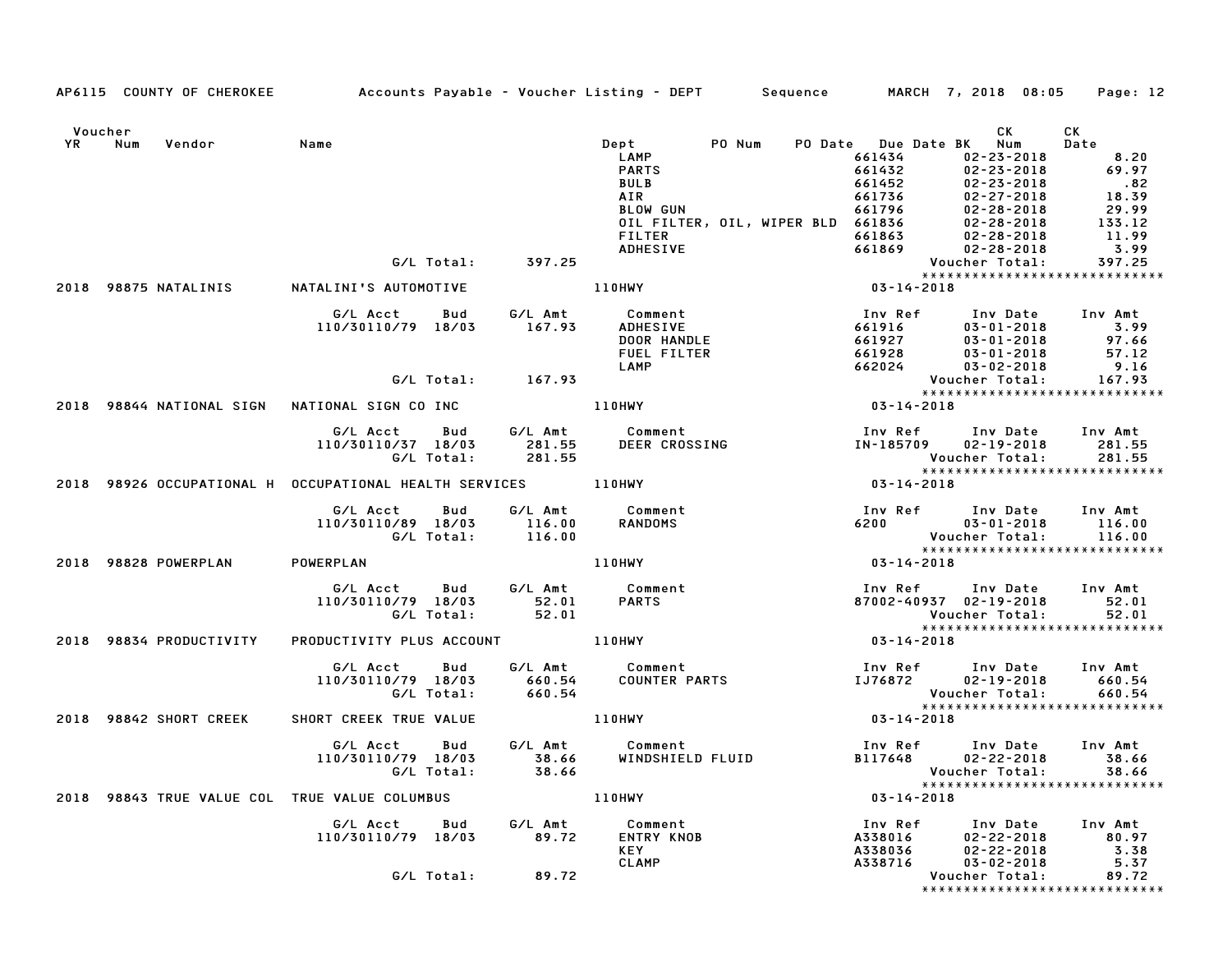|                                | AP6115 COUNTY OF CHEROKEE Accounts Payable - Voucher Listing - DEPT Sequence MARCH 7, 2018 08:05 |            |                       |                                                     |                                                                                                                                                                                                                                                                                     |                                                                                |                                                                                                            | Page: 12                                                                                                                             |
|--------------------------------|--------------------------------------------------------------------------------------------------|------------|-----------------------|-----------------------------------------------------|-------------------------------------------------------------------------------------------------------------------------------------------------------------------------------------------------------------------------------------------------------------------------------------|--------------------------------------------------------------------------------|------------------------------------------------------------------------------------------------------------|--------------------------------------------------------------------------------------------------------------------------------------|
| Voucher<br>YR Num<br>Vendor    | Name                                                                                             |            |                       | Dept<br>LAMP                                        | PO Num<br>PARTS<br>BULB<br>BULB<br>AIR<br>BLOW GUN<br>BLOW GUN<br>CIL FILTER, OIL, WIPER BLD<br>661736<br>661796<br>661796<br>02-28-2018<br>OIL FILTER<br>661863<br>2-28-2018<br>FILTER<br>661863<br>02-28-2018<br>2-28-2018<br>ADHESIVE<br>661863<br>02-28-2018<br>2-28-2018<br>2- | PO Date Due Date BK Num<br>661434                                              | CK<br>02-23-2018                                                                                           | CK<br>Date<br>8.20<br>69.97<br>$.82$<br>18.39<br>29.99<br>$\begin{array}{r} 133.12 \\ 133.12 \\ 11.99 \\ 3.99 \\ 397.25 \end{array}$ |
|                                |                                                                                                  |            |                       |                                                     |                                                                                                                                                                                                                                                                                     |                                                                                |                                                                                                            |                                                                                                                                      |
|                                |                                                                                                  | G/L Total: | 397.25                |                                                     |                                                                                                                                                                                                                                                                                     |                                                                                |                                                                                                            |                                                                                                                                      |
|                                | 2018 98875 NATALINIS NATALINI'S AUTOMOTIVE                                                       |            |                       | 110HWY                                              |                                                                                                                                                                                                                                                                                     |                                                                                |                                                                                                            |                                                                                                                                      |
|                                | G/L Acct<br>110/30110/79 18/03                                                                   | Bud        |                       | DOOR HANDLE<br>FUEL FILTER<br>LAMP                  | Inv R <sub>1</sub><br>661916<br>661927<br>662028                                                                                                                                                                                                                                    | Inv Ref<br>661916<br>661927<br>661928<br>662024                                | Inv Date Inv Amt<br>03-01-2018 3.99<br>03-01-2018 97.66<br>03-01-2018 57.12<br>$03 - 02 - 2018$            | 9.16                                                                                                                                 |
|                                |                                                                                                  |            | $G/L$ Total: $167.93$ |                                                     |                                                                                                                                                                                                                                                                                     |                                                                                | Voucher Total:                                                                                             | 167.93<br>*****************************                                                                                              |
|                                |                                                                                                  |            |                       | 110HWY                                              |                                                                                                                                                                                                                                                                                     | $03 - 14 - 2018$                                                               |                                                                                                            |                                                                                                                                      |
|                                | G/L Acct Bud G/L Amt<br>110/30110/37 18/03<br>G/L Total:                                         |            | 281.55<br>281.55      |                                                     | Comment<br>DEER CROSSING                                                                                                                                                                                                                                                            | Voucher Total:                                                                 | Inv Ref      Inv Date<br>IN-185709 02-19-2018                                                              | Inv Amt<br>281.55<br>281.55                                                                                                          |
|                                | 2018 98926 OCCUPATIONAL H OCCUPATIONAL HEALTH SERVICES 110HWY                                    |            |                       |                                                     |                                                                                                                                                                                                                                                                                     | $03 - 14 - 2018$                                                               |                                                                                                            |                                                                                                                                      |
|                                | G/L Acct<br>110/30110/89 18/03<br>G/L Total:                                                     | Bud        | $116.00$<br>$116.00$  | G/L Amt Comment<br>116.00 RANDOMS                   |                                                                                                                                                                                                                                                                                     |                                                                                | Inv Ref Inv Date<br>6200 03–01–2018<br>Voucher Total:                                                      | Inv Amt<br>116.00<br>116.00<br>*****************************                                                                         |
| 2018 98828 POWERPLAN POWERPLAN |                                                                                                  |            |                       | 110HWY                                              |                                                                                                                                                                                                                                                                                     | $03 - 14 - 2018$                                                               |                                                                                                            |                                                                                                                                      |
|                                | G/L Acct Bud G/L Amt<br>110/30110/79 18/03 52.01<br>G/L Total: 52.01                             |            |                       | Comment<br><b>PARTS</b>                             |                                                                                                                                                                                                                                                                                     |                                                                                | Inv Ref Inv Date Inv Amt<br>87002-40937 02-19-2018<br>Voucher Total:                                       | 52.01<br>52.01                                                                                                                       |
| 2018 98834 PRODUCTIVITY        | PRODUCTIVITY PLUS ACCOUNT 110HWY                                                                 |            |                       |                                                     |                                                                                                                                                                                                                                                                                     | $***$<br>03-14-2018                                                            |                                                                                                            |                                                                                                                                      |
|                                | G/L Acct Bud<br>110/30110/79 18/03                                                               | G/L Total: | 660.54<br>660.54      | G/L Amt Comment                                     |                                                                                                                                                                                                                                                                                     |                                                                                | Voucher Total:                                                                                             | 660.54<br>660.54                                                                                                                     |
| 2018 98842 SHORT CREEK         | SHORT CREEK TRUE VALUE                                                                           |            |                       | <b>110HWY</b>                                       |                                                                                                                                                                                                                                                                                     | $03 - 14 - 2018$                                                               |                                                                                                            | *****************************                                                                                                        |
|                                | G/L Acct Bud<br>110/30110/79 18/03<br>G/L Total:                                                 |            | 38.66<br>38.66        | G/L Amt Comment                                     | <b>COMMENT</b><br>WINDSHIELD FLUID                                                                                                                                                                                                                                                  | Inv Ref       Inv Date     Inv Amt<br>B117648        02–22–2018          38.66 | Voucher Total:                                                                                             | 38.66<br>38.66                                                                                                                       |
|                                | 2018 98843 TRUE VALUE COL TRUE VALUE COLUMBUS                                                    |            |                       | 110HWY                                              |                                                                                                                                                                                                                                                                                     | $03 - 14 - 2018$                                                               |                                                                                                            |                                                                                                                                      |
|                                | G/L Acct Bud<br>110/30110/79 18/03                                                               |            | G/L Amt<br>89.72      | Comment<br><b>ENTRY KNOB</b><br>KEY<br><b>CLAMP</b> |                                                                                                                                                                                                                                                                                     |                                                                                | 1nv Ref 1nv Date 1nv Amt<br>A338016 02-22-2018 80.97<br>A338036 02-22-2018 3.38<br>A338716 03-02-2018 5.37 |                                                                                                                                      |
|                                |                                                                                                  |            | G/L Total: 89.72      |                                                     |                                                                                                                                                                                                                                                                                     |                                                                                | Voucher Total:                                                                                             | 89.72<br>*****************************                                                                                               |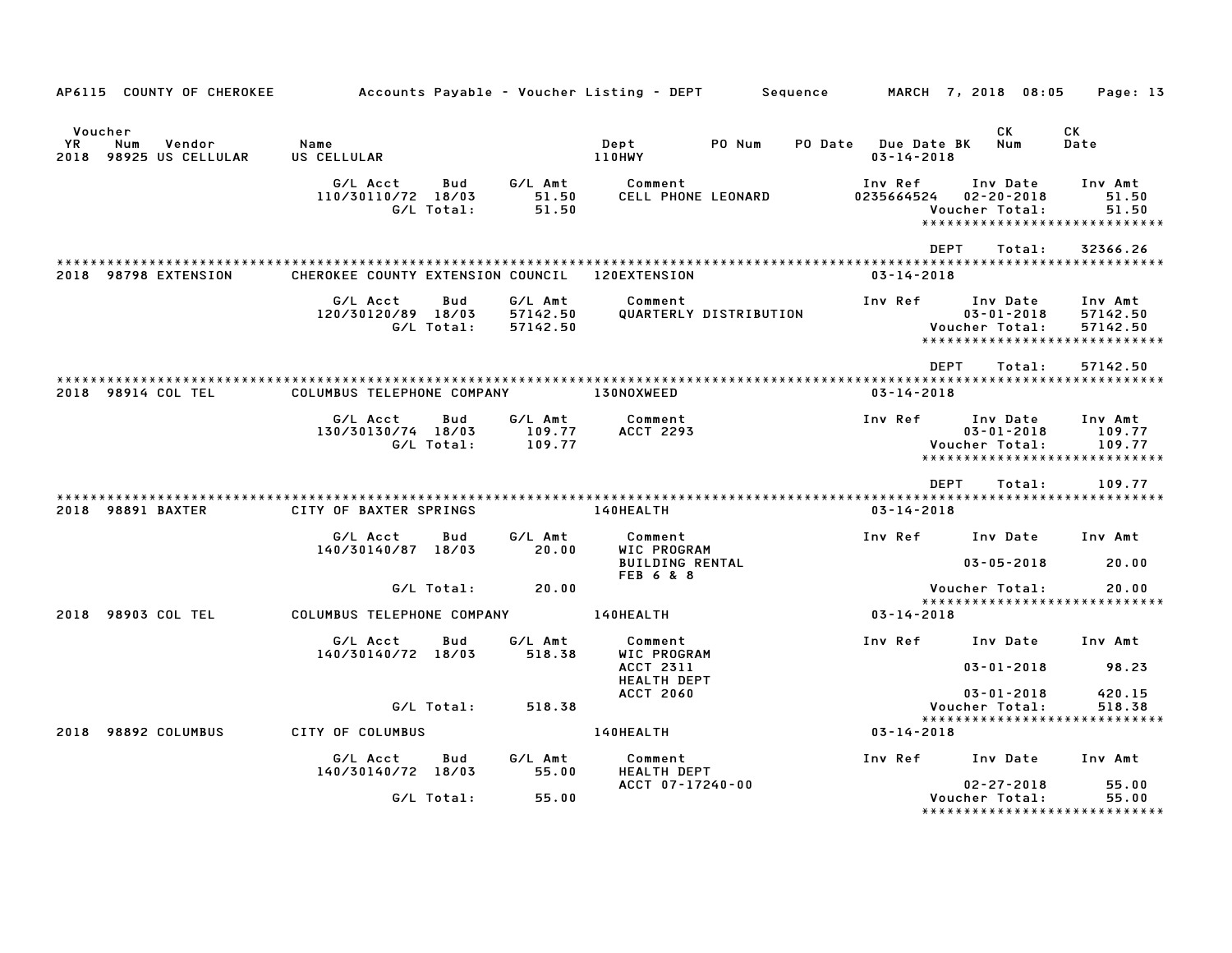| AP6115 COUNTY OF CHEROKEE                                 | Accounts Payable – Voucher Listing – DEPT         Sequence |                   |                                 |                                                  |        |                                         | MARCH 7, 2018 08:05                                                             | Page: 13                                                     |
|-----------------------------------------------------------|------------------------------------------------------------|-------------------|---------------------------------|--------------------------------------------------|--------|-----------------------------------------|---------------------------------------------------------------------------------|--------------------------------------------------------------|
| Voucher<br>YR.<br>Num<br>Vendor<br>2018 98925 US CELLULAR | Name<br>US CELLULAR                                        |                   |                                 | Dept<br><b>110HWY</b>                            | PO Num | PO Date Due Date BK<br>$03 - 14 - 2018$ | CK<br>Num                                                                       | CK<br>Date                                                   |
|                                                           | G/L Acct<br>110/30110/72 18/03                             | Bud<br>G/L Total: | G∕L Amt<br>51.50<br>51.50       | Comment<br>CELL PHONE LEONARD                    |        | Inv Ref<br>0235664524                   | Inv Date<br>$02 - 20 - 2018$<br>Voucher Total:<br>***************************** | Inv Amt<br>51.50<br>51.50                                    |
| 2018 98798 EXTENSION                                      | CHEROKEE COUNTY EXTENSION COUNCIL                          |                   |                                 | 120EXTENSION                                     |        | $03 - 14 - 2018$                        | <b>DEPT</b><br>Total:                                                           | 32366.26                                                     |
|                                                           | G/L Acct<br>120/30120/89 18/03                             | Bud<br>G/L Total: | G/L Amt<br>57142.50<br>57142.50 | Comment<br>QUARTERLY DISTRIBUTION                |        | Inv Ref                                 | Inv Date<br>$03 - 01 - 2018$<br>Voucher Total:<br>***************************** | Inv Amt<br>57142.50<br>57142.50                              |
| 2018 98914 COL TEL                                        | COLUMBUS TELEPHONE COMPANY                                 |                   |                                 | <b>130NOXWEED</b>                                |        | $03 - 14 - 2018$                        | <b>DFPT</b><br>Total:                                                           | 57142.50                                                     |
|                                                           | G/L Acct<br>130/30130/74 18/03<br>G/L Total:               | Bud               | G/L Amt<br>109.77<br>109.77     | Comment<br><b>ACCT 2293</b>                      |        | Inv Ref                                 | Inv Date<br>$03 - 01 - 2018$<br>Voucher Total:                                  | Inv Amt<br>109.77<br>109.77<br>***************************** |
| 2018 98891 BAXTER                                         | CITY OF BAXTER SPRINGS                                     |                   |                                 | 140HEALTH                                        |        | $03 - 14 - 2018$                        | DEPT<br>Total:                                                                  | 109.77                                                       |
|                                                           | G/L Acct<br>140/30140/87 18/03                             | Bud               | G/L Amt<br>20.00                | Comment<br>WIC PROGRAM<br><b>BUILDING RENTAL</b> |        | Inv Ref                                 | Inv Date<br>$03 - 05 - 2018$                                                    | Inv Amt<br>20.00                                             |
|                                                           |                                                            | G/L Total:        | 20.00                           | FEB 6 & 8                                        |        |                                         | Voucher Total:<br>******************************                                | 20.00                                                        |
| 2018 98903 COL TEL                                        | COLUMBUS TELEPHONE COMPANY                                 |                   |                                 | 140HEALTH                                        |        | $03 - 14 - 2018$                        |                                                                                 |                                                              |
|                                                           | G/L Acct<br>140/30140/72 18/03                             | Bud               | G/L Amt<br>518.38               | Comment<br>WIC PROGRAM<br>ACCT 2311              |        |                                         | Inv Ref Inv Date<br>$03 - 01 - 2018$                                            | Inv Amt<br>98.23                                             |
|                                                           |                                                            | G/L Total:        | 518.38                          | <b>HEALTH DEPT</b><br><b>ACCT 2060</b>           |        |                                         | $03 - 01 - 2018$<br>Voucher Total:<br>*****************************             | 420.15<br>518.38                                             |
| 2018 98892 COLUMBUS                                       | CITY OF COLUMBUS                                           |                   |                                 | 140HEALTH                                        |        | $03 - 14 - 2018$                        |                                                                                 |                                                              |
|                                                           | G/L Acct<br>140/30140/72 18/03                             | Bud               | G/L Amt<br>55.00                | Comment<br><b>HEALTH DEPT</b>                    |        |                                         | Inv Ref Inv Date                                                                | Inv Amt                                                      |
|                                                           |                                                            | G/L Total:        | 55.00                           | ACCT 07-17240-00                                 |        |                                         | $02 - 27 - 2018$<br>Voucher Total:<br>*****************************             | 55.00<br>55.00                                               |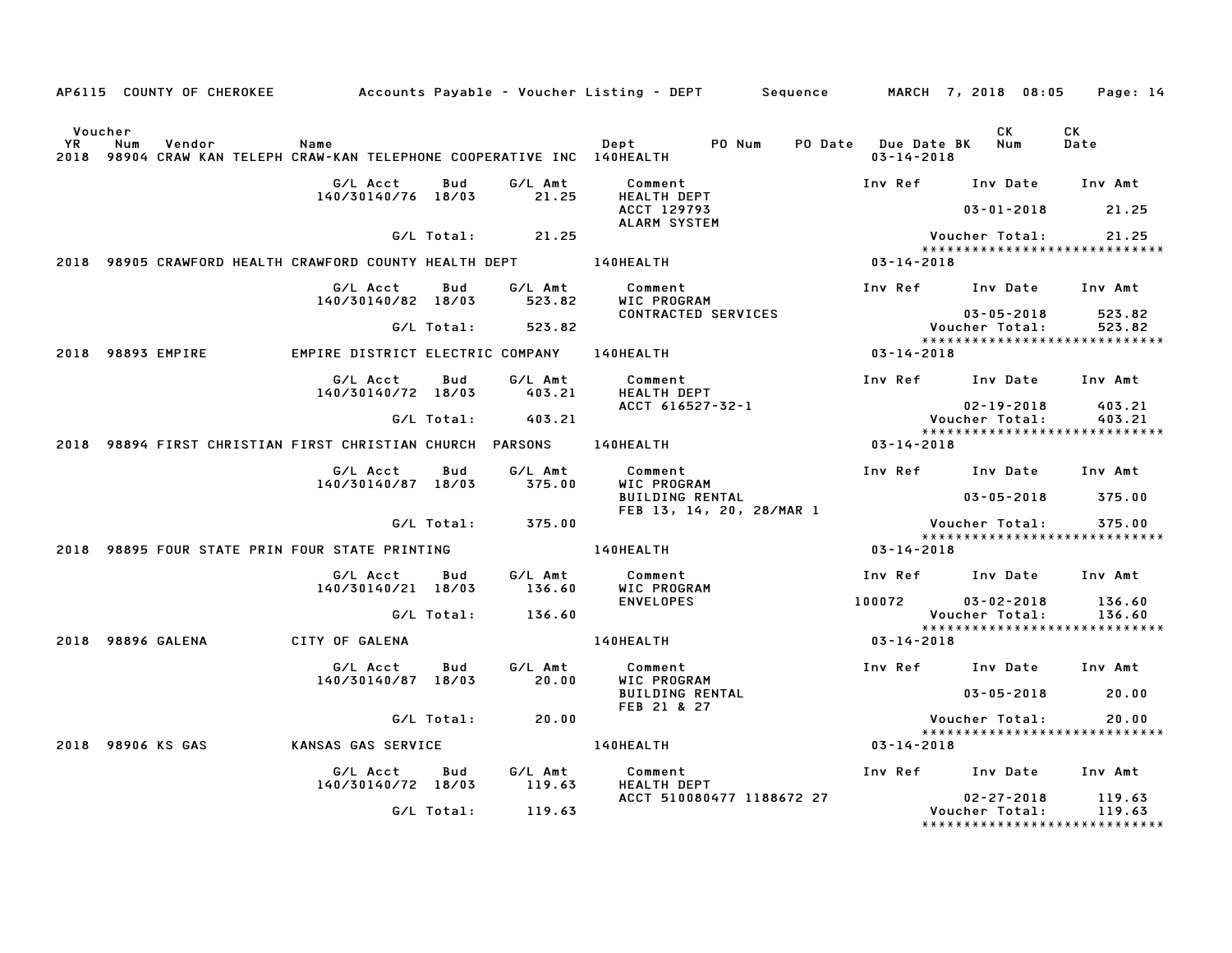|                              |     |                   |                                                                            |            |                    | AP6115 COUNTY OF CHEROKEE Accounts Payable - Voucher Listing - DEPT Sequence MARCH 7, 2018 08:05 |                                             |                                                                     | Page: 14         |
|------------------------------|-----|-------------------|----------------------------------------------------------------------------|------------|--------------------|--------------------------------------------------------------------------------------------------|---------------------------------------------|---------------------------------------------------------------------|------------------|
| Voucher<br><b>YR</b><br>2018 | Num | Vendor            | Name<br>98904 CRAW KAN TELEPH CRAW-KAN TELEPHONE COOPERATIVE INC 140HEALTH |            |                    | PO Num<br>Dept                                                                                   | PO Date Due Date BK Num<br>$03 - 14 - 2018$ | CK                                                                  | CK<br>Date       |
|                              |     |                   | G/L Acct<br>140/30140/76 18/03                                             | Bud        | G/L Amt<br>21.25   | Comment<br>HEALTH DEPT                                                                           |                                             | Inv Ref Inv Date                                                    | Inv Amt          |
|                              |     |                   |                                                                            |            |                    | ACCT 129793<br>ALARM SYSTEM                                                                      |                                             | $03 - 01 - 2018$                                                    | 21.25            |
|                              |     |                   |                                                                            |            | $G/L$ Total: 21.25 |                                                                                                  |                                             | Voucher Total:<br>*****************************                     | 21.25            |
|                              |     |                   | 2018 98905 CRAWFORD HEALTH CRAWFORD COUNTY HEALTH DEPT 140HEALTH           |            |                    |                                                                                                  | $03 - 14 - 2018$                            |                                                                     |                  |
|                              |     |                   | G/L Acct<br>140/30140/82 18/03                                             | Bud        | G/L Amt<br>523.82  | Comment<br>WIC PROGRAM                                                                           |                                             | Inv Ref Inv Date                                                    | Inv Amt          |
|                              |     |                   |                                                                            | G/L Total: | 523.82             | CONTRACTED SERVICES                                                                              |                                             | $03 - 05 - 2018$<br>Voucher Total:<br>***************************** | 523.82<br>523.82 |
|                              |     | 2018 98893 EMPIRE | EMPIRE DISTRICT ELECTRIC COMPANY                                           |            |                    | <b>140HEALTH</b>                                                                                 | 03-14-2018                                  |                                                                     |                  |
|                              |     |                   | G/L Acct<br>140/30140/72 18/03                                             | Bud        | G/L Amt<br>403.21  | Comment<br><b>HEALTH DEPT</b>                                                                    |                                             | Inv Ref Inv Date Inv Amt                                            |                  |
|                              |     |                   |                                                                            | G/L Total: | 403.21             | ACCT 616527-32-1                                                                                 |                                             | $02 - 19 - 2018$<br>Voucher Total:                                  | 403.21<br>403.21 |
|                              |     |                   |                                                                            |            |                    |                                                                                                  |                                             | *****************************                                       |                  |
|                              |     |                   | 2018 98894 FIRST CHRISTIAN FIRST CHRISTIAN CHURCH PARSONS                  |            |                    | 140HEALTH                                                                                        | $03 - 14 - 2018$                            |                                                                     |                  |
|                              |     |                   | G/L Acct<br>140/30140/87 18/03                                             | Bud        | G/L Amt<br>375.00  | Comment<br>WIC PROGRAM                                                                           |                                             | Inv Ref Inv Date                                                    | Inv Amt          |
|                              |     |                   |                                                                            |            |                    | <b>BUILDING RENTAL</b><br>FEB 13, 14, 20, 28/MAR 1                                               |                                             | $03 - 05 - 2018$                                                    | 375.00           |
|                              |     |                   |                                                                            | G/L Total: | 375.00             |                                                                                                  |                                             | Voucher Total:                                                      | 375.00           |
|                              |     |                   | 2018 98895 FOUR STATE PRIN FOUR STATE PRINTING                             |            |                    | 140HEALTH                                                                                        | $03 - 14 - 2018$                            | ******************************                                      |                  |
|                              |     |                   | G/L Acct<br>140/30140/21 18/03                                             | Bud        | G/L Amt<br>136.60  | Comment<br>WIC PROGRAM                                                                           |                                             | Inv Ref Inv Date Inv Amt                                            |                  |
|                              |     |                   |                                                                            | G/L Total: | 136.60             | <b>ENVELOPES</b>                                                                                 | 100072                                      | $03 - 02 - 2018$<br>Voucher Total:                                  | 136.60<br>136.60 |
|                              |     | 2018 98896 GALENA | CITY OF GALENA                                                             |            |                    | <b>140HEALTH</b>                                                                                 | 03-14-2018                                  | ******************************                                      |                  |
|                              |     |                   | G/L Acct<br>140/30140/87 18/03                                             | Bud        | G/L Amt<br>20.00   | Comment<br>WIC PROGRAM                                                                           |                                             | Inv Ref Inv Date Inv Amt                                            |                  |
|                              |     |                   |                                                                            |            |                    | <b>BUILDING RENTAL</b><br>FEB 21 & 27                                                            |                                             | $03 - 05 - 2018$                                                    | 20.00            |
|                              |     |                   |                                                                            | G/L Total: | 20.00              |                                                                                                  |                                             | Voucher Total:                                                      | 20.00            |
|                              |     | 2018 98906 KS GAS | KANSAS GAS SERVICE                                                         |            |                    | <b>140HEALTH</b>                                                                                 | 03-14-2018                                  | *****************************                                       |                  |
|                              |     |                   | G/L Acct<br>140/30140/72 18/03                                             | Bud        | G/L Amt<br>119.63  | Comment<br><b>HEALTH DEPT</b>                                                                    |                                             | Inv Ref Inv Date                                                    | Inv Amt          |
|                              |     |                   |                                                                            | G/L Total: | 119.63             | ACCT 510080477 1188672 27                                                                        |                                             | $02 - 27 - 2018$<br>Voucher Total:<br>***************************** | 119.63<br>119.63 |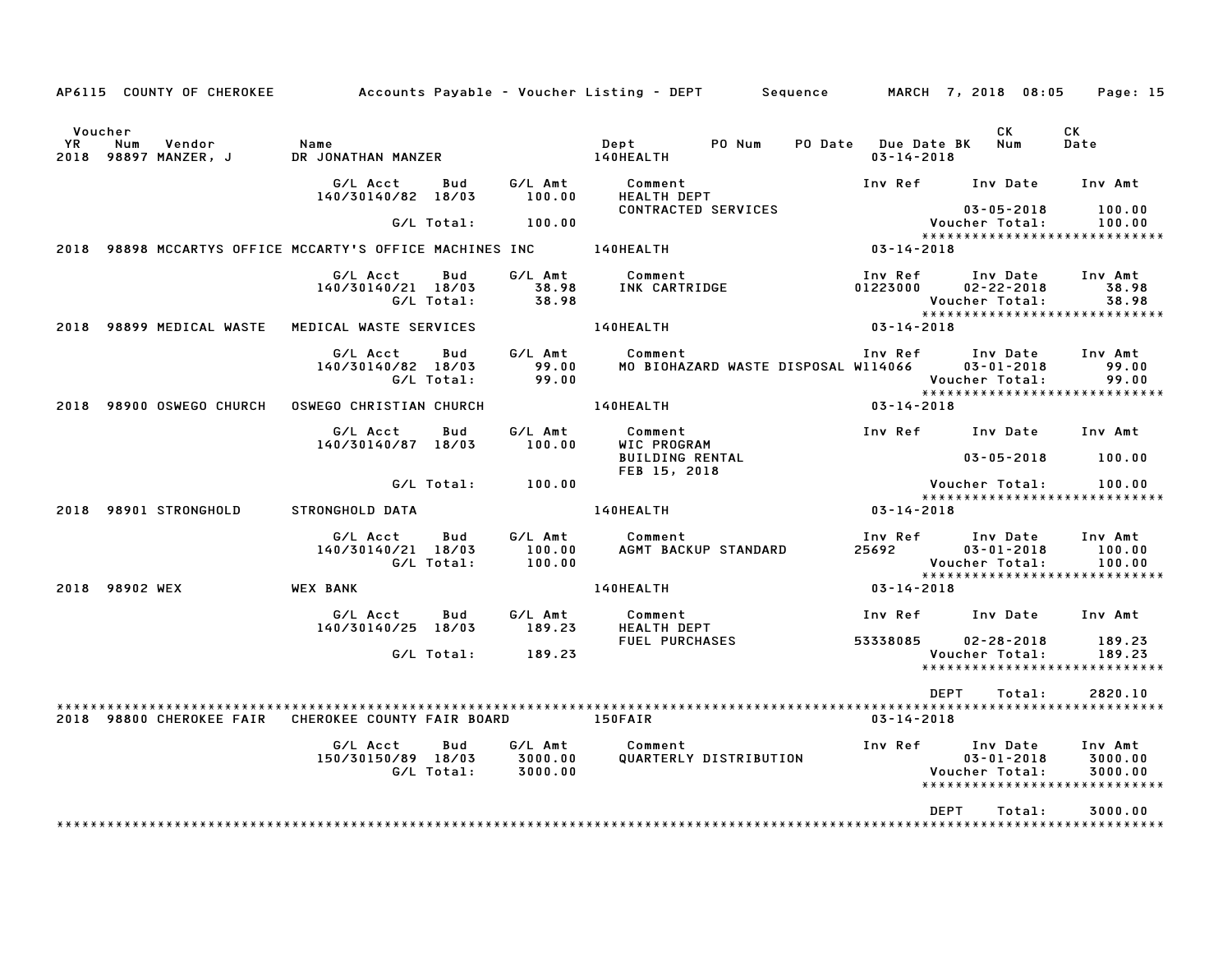|               |                | AP6115 COUNTY OF CHEROKEE      |                                                          |                   |                               | Accounts Payable – Voucher Listing – DEPT        Sequence        MARCH  7, 2018  08:05 |                                         |                                                                                  | Page: 15                      |
|---------------|----------------|--------------------------------|----------------------------------------------------------|-------------------|-------------------------------|----------------------------------------------------------------------------------------|-----------------------------------------|----------------------------------------------------------------------------------|-------------------------------|
| Voucher<br>YR | Num            | Vendor<br>2018 98897 MANZER, J | Name<br>DR JONATHAN MANZER                               |                   |                               | Dept<br>PO Num<br>140HEALTH                                                            | PO Date Due Date BK<br>$03 - 14 - 2018$ | CK.<br>Num                                                                       | CK<br>Date                    |
|               |                |                                | G/L Acct<br>140/30140/82 18/03                           | Bud               | G/L Amt<br>100.00             | Comment<br><b>HEALTH DEPT</b>                                                          |                                         | Inv Ref Inv Date                                                                 | Inv Amt                       |
|               |                |                                |                                                          | G/L Total:        | 100.00                        | CONTRACTED SERVICES                                                                    |                                         | $03 - 05 - 2018$<br>Voucher Total:<br>*****************************              | 100.00<br>100.00              |
|               |                |                                | 2018 98898 MCCARTYS OFFICE MCCARTY'S OFFICE MACHINES INC |                   |                               | 140HEALTH                                                                              | 03-14-2018                              |                                                                                  |                               |
|               |                |                                | G/L Acct<br>140/30140/21 18/03                           | Bud<br>G/L Total: | G/L Amt<br>38.98<br>38.98     | Comment<br>INK CARTRIDGE                                                               | Inv Ref<br>01223000                     | Inv Date<br>$02 - 22 - 2018$<br>Voucher Total:<br>*****************************  | Inv Amt<br>38.98<br>38.98     |
|               |                | 2018 98899 MEDICAL WASTE       | MEDICAL WASTE SERVICES                                   |                   |                               | 140HEALTH                                                                              | 03-14-2018                              |                                                                                  |                               |
|               |                |                                | G/L Acct<br>140/30140/82 18/03                           | Bud<br>G/L Total: | G/L Amt<br>99.00<br>99.00     | Comment<br>MO BIOHAZARD WASTE DISPOSAL W114066                                         | Inv Ref                                 | Inv Date<br>$03 - 01 - 2018$<br>Voucher Total:<br>*****************************  | Inv Amt<br>99.00<br>99.00     |
| 2018          |                | 98900 OSWEGO CHURCH            | <b>OSWEGO CHRISTIAN CHURCH</b>                           |                   |                               | 140HEALTH                                                                              | $03 - 14 - 2018$                        |                                                                                  |                               |
|               |                |                                | G/L Acct<br>140/30140/87 18/03                           | Bud               | G/L Amt<br>100.00             | Comment<br>WIC PROGRAM<br><b>BUILDING RENTAL</b><br>FEB 15, 2018                       |                                         | Inv Ref Inv Date<br>$03 - 05 - 2018$                                             | Inv Amt<br>100.00             |
|               |                |                                |                                                          | G/L Total:        | 100.00                        |                                                                                        |                                         | Voucher Total:<br>*****************************                                  | 100.00                        |
| 2018          |                | 98901 STRONGHOLD               | <b>STRONGHOLD DATA</b>                                   |                   |                               | 140HEALTH                                                                              | $03 - 14 - 2018$                        |                                                                                  |                               |
|               |                |                                | G/L Acct<br>140/30140/21 18/03                           | Bud<br>G/L Total: | G/L Amt<br>100.00<br>100.00   | Comment<br>AGMT BACKUP STANDARD                                                        | Inv Ref<br>25692                        | Inv Date<br>$03 - 01 - 2018$<br>Voucher Total:<br>*****************************  | Inv Amt<br>100.00<br>100.00   |
|               | 2018 98902 WEX |                                | <b>WEX BANK</b>                                          |                   |                               | 140HEALTH                                                                              | $03 - 14 - 2018$                        |                                                                                  |                               |
|               |                |                                | G/L Acct<br>140/30140/25 18/03                           | Bud               | G/L Amt<br>189.23             | Comment<br><b>HEALTH DEPT</b>                                                          | Inv Ref                                 | Inv Date                                                                         | Inv Amt                       |
|               |                |                                |                                                          | G/L Total:        | 189.23                        | <b>FUEL PURCHASES</b>                                                                  | 53338085                                | $02 - 28 - 2018$<br>Voucher Total:<br>******************************             | 189.23<br>189.23              |
|               |                |                                | 2018 98800 CHEROKEE FAIR CHEROKEE COUNTY FAIR BOARD      |                   |                               | 150FAIR                                                                                | <b>DEPT</b><br>$03 - 14 - 2018$         | Total:                                                                           | 2820.10                       |
|               |                |                                | G/L Acct<br>150/30150/89 18/03                           | Bud<br>G/L Total: | G/L Amt<br>3000.00<br>3000.00 | Comment<br>QUARTERLY DISTRIBUTION                                                      | Inv Ref                                 | Inv Date<br>$03 - 01 - 2018$<br>Voucher Total:<br>****************************** | Inv Amt<br>3000.00<br>3000.00 |
|               |                |                                |                                                          |                   |                               |                                                                                        | <b>DEPT</b>                             | Total:                                                                           | 3000.00                       |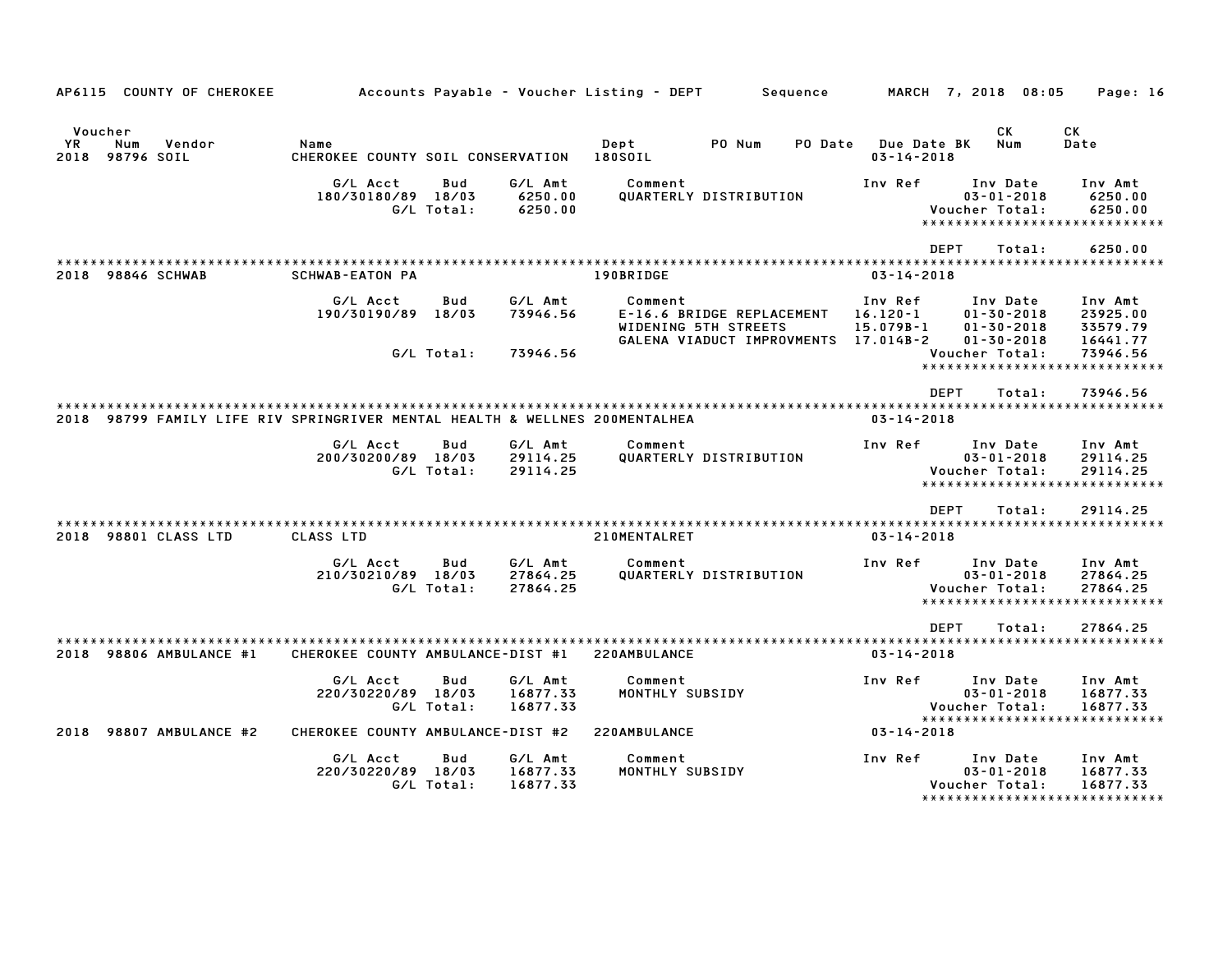| AP6115                | <b>COUNTY OF CHEROKEE</b>                                              |                                           |                                   |                                 | Accounts Payable - Voucher Listing - DEPT |                                                                                 | Sequence |                                                       |             | MARCH 7, 2018 08:05                                                  | Page: 16                                                         |
|-----------------------|------------------------------------------------------------------------|-------------------------------------------|-----------------------------------|---------------------------------|-------------------------------------------|---------------------------------------------------------------------------------|----------|-------------------------------------------------------|-------------|----------------------------------------------------------------------|------------------------------------------------------------------|
| Voucher<br>YR<br>2018 | Num<br>Vendor<br>98796 SOIL                                            | Name<br>CHEROKEE COUNTY SOIL CONSERVATION |                                   |                                 | Dept<br>180SOIL                           | PO Num                                                                          | PO Date  | $03 - 14 - 2018$                                      | Due Date BK | СK<br>Num                                                            | СK<br>Date                                                       |
|                       |                                                                        | G/L Acct<br>180/30180/89 18/03            | Bud<br>G/L Total:                 | G/L Amt<br>6250.00<br>6250.00   | Comment                                   | QUARTERLY DISTRIBUTION                                                          |          | Inv Ref                                               |             | Inv Date<br>$03 - 01 - 2018$<br>Voucher Total:                       | Inv Amt<br>6250.00<br>6250.00<br>*****************************   |
| 2018                  | <b>98846 SCHWAB</b>                                                    | <b>SCHWAB-EATON PA</b>                    |                                   |                                 | 190BRIDGE                                 |                                                                                 |          | $03 - 14 - 2018$                                      | <b>DEPT</b> | Total:                                                               | 6250.00                                                          |
|                       |                                                                        | G/L Acct<br>190/30190/89                  | Bud<br>18/03                      | G/L Amt<br>73946.56             | Comment                                   | E-16.6 BRIDGE REPLACEMENT<br>WIDENING 5TH STREETS<br>GALENA VIADUCT IMPROVMENTS |          | Inv Ref<br>$16.120 - 1$<br>$15.079B - 1$<br>17.014B-2 |             | Inv Date<br>$01 - 30 - 2018$<br>$01 - 30 - 2018$<br>$01 - 30 - 2018$ | Inv Amt<br>23925.00<br>33579.79<br>16441.77                      |
|                       |                                                                        |                                           | G/L Total:                        | 73946.56                        |                                           |                                                                                 |          |                                                       |             | Voucher Total:                                                       | 73946.56<br>******************************                       |
| 2018                  | 98799 FAMILY LIFE RIV SPRINGRIVER MENTAL HEALTH & WELLNES 200MENTALHEA |                                           |                                   |                                 |                                           |                                                                                 |          | $03 - 14 - 2018$                                      | <b>DEPT</b> | Total:                                                               | 73946.56                                                         |
|                       |                                                                        | G/L Acct<br>200/30200/89 18/03            | Bud<br>G/L Total:                 | G/L Amt<br>29114.25<br>29114.25 | Comment                                   | QUARTERLY DISTRIBUTION                                                          |          | Inv Ref                                               |             | Inv Date<br>$03 - 01 - 2018$<br>Voucher Total:                       | Inv Amt<br>29114.25<br>29114.25<br>***************************** |
|                       |                                                                        |                                           |                                   |                                 |                                           |                                                                                 |          | * * * * * * * * * * * *                               | <b>DEPT</b> | Total:                                                               | 29114.25<br>************************                             |
| 2018                  | 98801 CLASS LTD                                                        | CLASS LTD                                 |                                   |                                 | 210MENTALRET                              |                                                                                 |          | $03 - 14 - 2018$                                      |             |                                                                      |                                                                  |
|                       |                                                                        | G/L Acct<br>210/30210/89                  | <b>Bud</b><br>18/03<br>G/L Total: | G/L Amt<br>27864.25<br>27864.25 | Comment                                   | QUARTERLY DISTRIBUTION                                                          |          | Inv Ref                                               |             | Inv Date<br>$03 - 01 - 2018$<br>Voucher Total:                       | Inv Amt<br>27864.25<br>27864.25<br>***************************** |
|                       |                                                                        |                                           |                                   |                                 |                                           |                                                                                 |          | * * * * * * * * * * * * * * * * * *                   | <b>DEPT</b> | Total:                                                               | 27864.25<br>*************************                            |
| 2018                  | 98806 AMBULANCE #1                                                     | CHEROKEE COUNTY AMBULANCE-DIST #1         |                                   |                                 | 220AMBULANCE                              |                                                                                 |          | $03 - 14 - 2018$                                      |             |                                                                      |                                                                  |
|                       |                                                                        | G/L Acct<br>220/30220/89 18/03            | Bud<br>G/L Total:                 | G/L Amt<br>16877.33<br>16877.33 | Comment<br>MONTHLY SUBSIDY                |                                                                                 |          | Inv Ref                                               |             | Inv Date<br>$03 - 01 - 2018$<br>Voucher Total:                       | Inv Amt<br>16877.33<br>16877.33<br>***************************** |
| 2018                  | 98807 AMBULANCE #2                                                     | CHEROKEE COUNTY AMBULANCE-DIST #2         |                                   |                                 | 220AMBULANCE                              |                                                                                 |          | $03 - 14 - 2018$                                      |             |                                                                      |                                                                  |
|                       |                                                                        | G/L Acct<br>220/30220/89 18/03            | Bud<br>G/L Total:                 | G/L Amt<br>16877.33<br>16877.33 | Comment<br>MONTHLY SUBSIDY                |                                                                                 |          | Inv Ref                                               |             | Inv Date<br>$03 - 01 - 2018$<br>Voucher Total:<br>***************    | Inv Amt<br>16877.33<br>16877.33<br>********                      |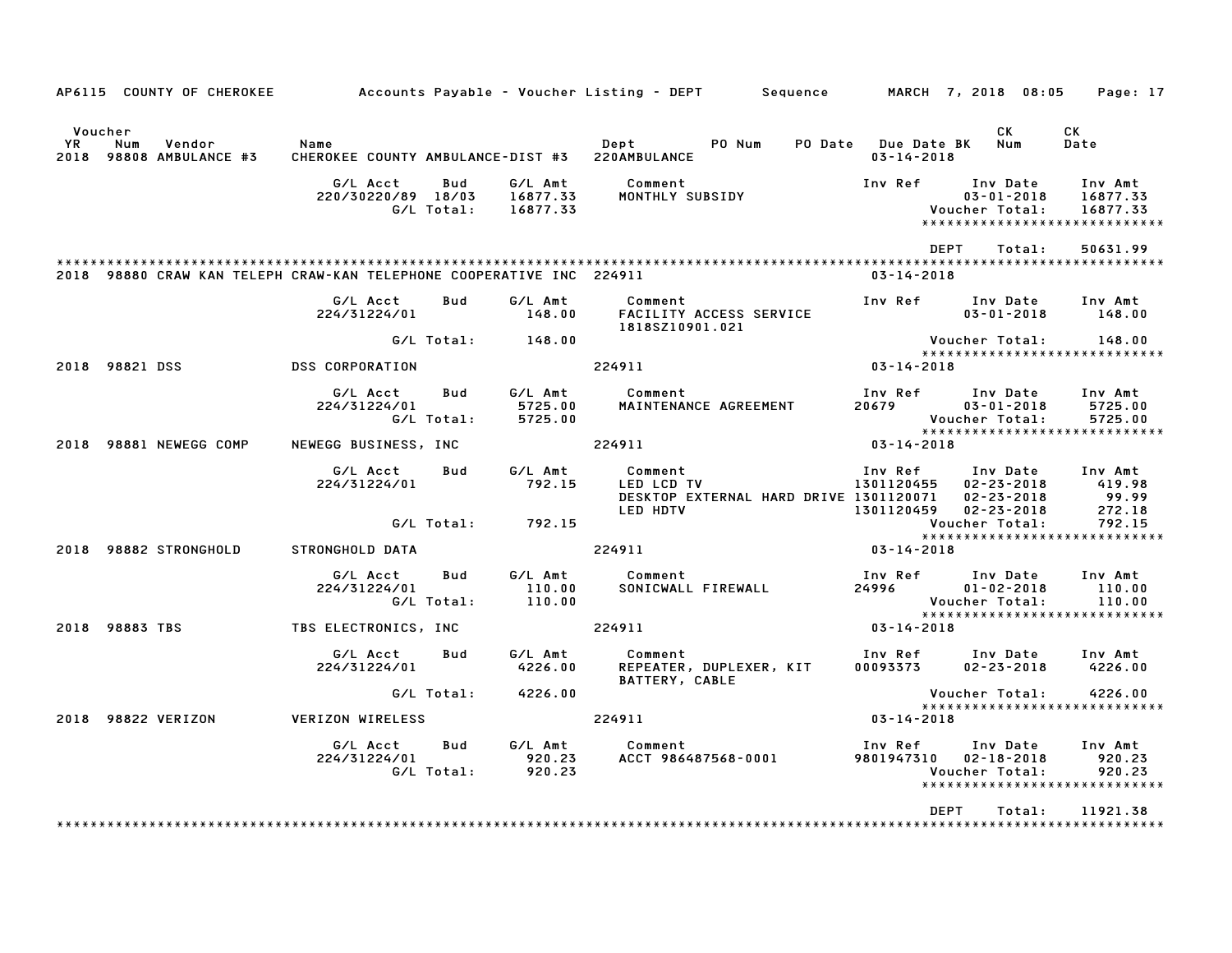|                      | AP6115 COUNTY OF CHEROKEE                                            |                                                        |                   |                                 | Accounts Payable – Voucher Listing – DEPT         Sequence                                |                                             |                                                          | MARCH 7, 2018 08:05 Page: 17                                     |
|----------------------|----------------------------------------------------------------------|--------------------------------------------------------|-------------------|---------------------------------|-------------------------------------------------------------------------------------------|---------------------------------------------|----------------------------------------------------------|------------------------------------------------------------------|
| Voucher<br><b>YR</b> | Num<br>Vendor<br>2018 98808 AMBULANCE #3                             | Name<br>CHEROKEE COUNTY AMBULANCE-DIST #3 220AMBULANCE |                   |                                 | Dept<br>PO Num                                                                            | PO Date Due Date BK Num<br>$03 - 14 - 2018$ | CK                                                       | CK<br>Date                                                       |
|                      |                                                                      | G/L Acct<br>220/30220/89 18/03                         | Bud<br>G/L Total: | G/L Amt<br>16877.33<br>16877.33 | Comment<br>MONTHLY SUBSIDY                                                                | Inv Ref                                     | Inv Date<br>$03 - 01 - 2018$<br>Voucher Total:           | Inv Amt<br>16877.33<br>16877.33<br>***************************** |
|                      |                                                                      |                                                        |                   |                                 |                                                                                           | <b>DEPT</b>                                 | Total:                                                   | 50631.99                                                         |
|                      | 2018 98880 CRAW KAN TELEPH CRAW-KAN TELEPHONE COOPERATIVE INC 224911 |                                                        |                   |                                 |                                                                                           | $03 - 14 - 2018$                            |                                                          |                                                                  |
|                      |                                                                      | G/L Acct<br>224/31224/01                               | Bud               | G/L Amt<br>148.00               | Comment<br>FACILITY ACCESS SERVICE<br>1818SZ10901.021                                     | Inv Ref                                     | Inv Date<br>$03 - 01 - 2018$                             | Inv Amt<br>148.00                                                |
|                      |                                                                      |                                                        |                   | G/L Total: 148.00               |                                                                                           |                                             | Voucher Total:                                           | 148.00                                                           |
|                      | 2018 98821 DSS                                                       | DSS CORPORATION                                        |                   |                                 | 224911                                                                                    | $03 - 14 - 2018$                            |                                                          | *****************************                                    |
|                      |                                                                      | G/L Acct<br>224/31224/01                               | Bud<br>G/L Total: | G/L Amt<br>5725.00<br>5725.00   | Comment<br>MAINTENANCE AGREEMENT                                                          | Inv Ref<br>20679                            | Inv Date<br>$03 - 01 - 2018$<br>Voucher Total:           | Inv Amt<br>5725.00<br>5725.00                                    |
|                      | 2018 98881 NEWEGG COMP                                               | NEWEGG BUSINESS, INC                                   |                   |                                 | 224911                                                                                    | $03 - 14 - 2018$                            |                                                          | *****************************                                    |
|                      |                                                                      | G/L Acct<br>224/31224/01                               | Bud               | G/L Amt<br>792.15               | Comment<br>LED LCD TV<br>DESKTOP EXTERNAL HARD DRIVE 1301120071<br>LED HDTV<br>1301120459 | Inv Ref Inv Date<br>1301120455              | $02 - 23 - 2018$<br>$02 - 23 - 2018$<br>$02 - 23 - 2018$ | Inv Amt<br>419.98<br>99.99<br>272.18                             |
|                      |                                                                      |                                                        |                   | $G/L$ Total: $792.15$           |                                                                                           |                                             | Voucher Total:                                           | 792.15<br>*****************************                          |
|                      | 2018 98882 STRONGHOLD                                                | STRONGHOLD DATA                                        |                   |                                 | 224911                                                                                    | $03 - 14 - 2018$                            |                                                          |                                                                  |
|                      |                                                                      | G/L Acct<br>224/31224/01                               | Bud<br>G/L Total: | G/L Amt<br>110.00<br>110.00     | Comment<br>SONICWALL FIREWALL                                                             | Inv Ref<br>24996 2014                       | Inv Date<br>$01 - 02 - 2018$<br>Voucher Total:           | Inv Amt<br>110.00<br>110.00                                      |
|                      | 2018 98883 TBS                                                       | TBS ELECTRONICS, INC                                   |                   |                                 | 224911                                                                                    | $03 - 14 - 2018$                            |                                                          | *****************************                                    |
|                      |                                                                      | G/L Acct<br>224/31224/01                               | Bud               | G/L Amt<br>4226.00              | Comment<br>REPEATER, DUPLEXER, KIT<br>BATTERY, CABLE                                      | Inv Ref<br>00093373                         | Inv Date Inv Amt<br>$02 - 23 - 2018$                     | 4226.00                                                          |
|                      |                                                                      |                                                        |                   | G/L Total: 4226.00              |                                                                                           |                                             | Voucher Total:                                           | 4226.00                                                          |
|                      | 2018 98822 VERIZON                                                   | VERIZON WIRELESS                                       |                   |                                 | 224911                                                                                    | $03 - 14 - 2018$                            |                                                          | *****************************                                    |
|                      |                                                                      | G/L Acct<br>224/31224/01                               | Bud<br>G/L Total: | G/L Amt<br>920.23<br>920.23     | Comment<br>ACCT 986487568-0001                                                            | Inv Ref<br>9801947310 02-18-2018            | Inv Date<br>Voucher Total:                               | Inv Amt<br>920.23<br>920.23<br>*****************************     |
|                      |                                                                      |                                                        |                   |                                 |                                                                                           | <b>DEPT</b>                                 | Total:                                                   | 11921.38                                                         |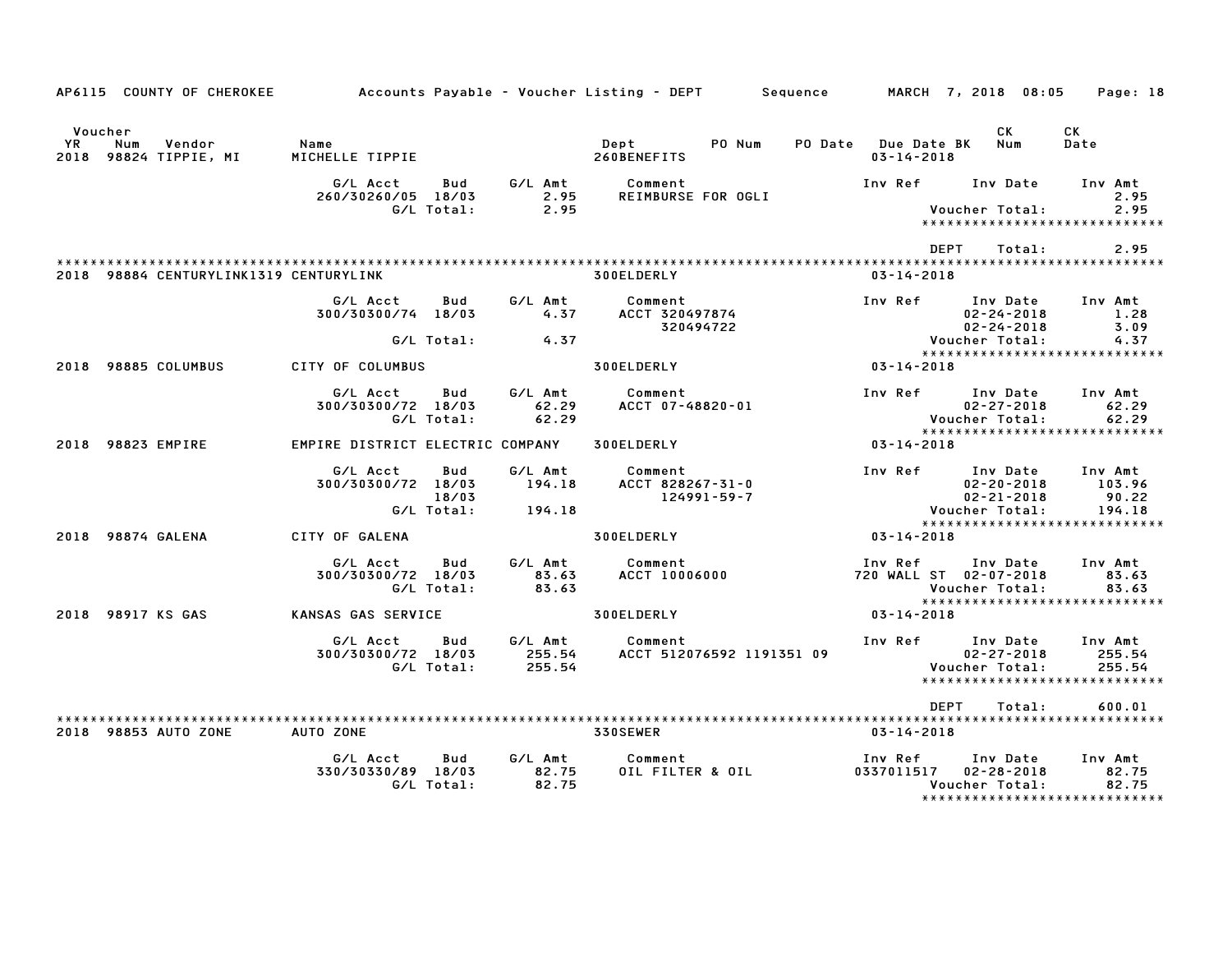|               | AP6115 COUNTY OF CHEROKEE              |                                  |            |                  | Accounts Payable – Voucher Listing – DEPT         Sequence |                     |                       | MARCH 7, 2018 08:05                  | Page: 18                              |
|---------------|----------------------------------------|----------------------------------|------------|------------------|------------------------------------------------------------|---------------------|-----------------------|--------------------------------------|---------------------------------------|
| Voucher<br>YR | Vendor<br>Num<br>2018 98824 TIPPIE, MI | Name<br>MICHELLE TIPPIE          |            |                  | PO Num<br>Dept<br>260BENEFITS                              | PO Date Due Date BK | $03 - 14 - 2018$      | CK.<br>Num                           | СK<br>Date                            |
|               |                                        | G/L Acct<br>260/30260/05 18/03   | Bud        | G/L Amt<br>2.95  | Comment<br>REIMBURSE FOR OGLI                              |                     | Inv Ref               | Inv Date                             | Inv Amt<br>2.95                       |
|               |                                        |                                  | G/L Total: | 2.95             |                                                            |                     |                       | Voucher Total:                       | 2.95<br>***************************** |
|               |                                        |                                  |            |                  |                                                            |                     | <b>DEPT</b>           | Total:                               | 2.95                                  |
|               | 2018 98884 CENTURYLINK1319 CENTURYLINK |                                  |            |                  | 300ELDERLY                                                 |                     | $03 - 14 - 2018$      |                                      |                                       |
|               |                                        | G/L Acct                         | Bud        | G/L Amt          | Comment                                                    |                     | Inv Ref               | Inv Date                             | Inv Amt                               |
|               |                                        | 300/30300/74 18/03               |            | 4.37             | ACCT 320497874<br>320494722                                |                     |                       | $02 - 24 - 2018$<br>$02 - 24 - 2018$ | 1.28<br>3.09                          |
|               |                                        |                                  | G/L Total: | 4.37             |                                                            |                     |                       | Voucher Total:                       | 4.37<br>***************************** |
|               | 2018 98885 COLUMBUS                    | CITY OF COLUMBUS                 |            |                  | 300ELDERLY                                                 |                     | 03-14-2018            |                                      |                                       |
|               |                                        | G/L Acct                         | Bud        | G/L Amt          | Comment                                                    | Inv Ref             |                       | Inv Date                             | Inv Amt                               |
|               |                                        | 300/30300/72 18/03               | G/L Total: | 62.29<br>62.29   | ACCT 07-48820-01                                           |                     |                       | $02 - 27 - 2018$<br>Voucher Total:   | 62.29<br>62.29                        |
|               |                                        |                                  |            |                  |                                                            |                     |                       |                                      | *****************************         |
|               | 2018 98823 EMPIRE                      | EMPIRE DISTRICT ELECTRIC COMPANY |            |                  | 300ELDERLY                                                 |                     | 03-14-2018            |                                      |                                       |
|               |                                        | G/L Acct                         | Bud        | G/L Amt          | Comment                                                    |                     | Inv Ref               | Inv Date                             | Inv Amt                               |
|               |                                        | 300/30300/72 18/03               | 18/03      | 194.18           | ACCT 828267-31-0<br>124991-59-7                            |                     |                       | $02 - 20 - 2018$<br>$02 - 21 - 2018$ | 103.96<br>90.22                       |
|               |                                        |                                  | G/L Total: | 194.18           |                                                            |                     |                       | Voucher Total:                       | 194.18                                |
|               | 2018 98874 GALENA                      | CITY OF GALENA                   |            |                  | 300ELDERLY                                                 |                     | $03 - 14 - 2018$      |                                      | *****************************         |
|               |                                        |                                  |            |                  |                                                            |                     |                       |                                      |                                       |
|               |                                        | G/L Acct<br>300/30300/72 18/03   | Bud        | G/L Amt<br>83.63 | Comment<br><b>ACCT 10006000</b>                            |                     | Inv Ref               | Inv Date<br>720 WALL ST 02-07-2018   | Inv Amt<br>83.63                      |
|               |                                        |                                  | G/L Total: | 83.63            |                                                            |                     |                       | Voucher Total:                       | 83.63                                 |
|               | 2018 98917 KS GAS                      | KANSAS GAS SERVICE               |            |                  | 300ELDERLY                                                 |                     | 03-14-2018            |                                      | *****************************         |
|               |                                        | G/L Acct                         | Bud        | G/L Amt          | Comment                                                    |                     | Inv Ref               | Inv Date                             | Inv Amt                               |
|               |                                        | 300/30300/72 18/03               | G/L Total: | 255.54<br>255.54 | ACCT 512076592 1191351 09                                  |                     |                       | $02 - 27 - 2018$<br>Voucher Total:   | 255.54<br>255.54                      |
|               |                                        |                                  |            |                  |                                                            |                     |                       |                                      | *****************************         |
|               |                                        |                                  |            |                  |                                                            |                     | <b>DEPT</b>           | Total:                               | 600.01                                |
|               | 2018 98853 AUTO ZONE                   | AUTO ZONE                        |            |                  | <b>330SEWER</b>                                            |                     | 03-14-2018            |                                      |                                       |
|               |                                        | G/L Acct                         | Bud        | G/L Amt          | Comment                                                    | Inv Ref             |                       | Inv Date                             | Inv Amt                               |
|               |                                        | 330/30330/89 18/03               | G/L Total: | 82.75<br>82.75   | OIL FILTER & OIL                                           |                     | 0337011517 02-28-2018 | Voucher Total:                       | 82.75<br>82.75                        |
|               |                                        |                                  |            |                  |                                                            |                     |                       |                                      | *******************************       |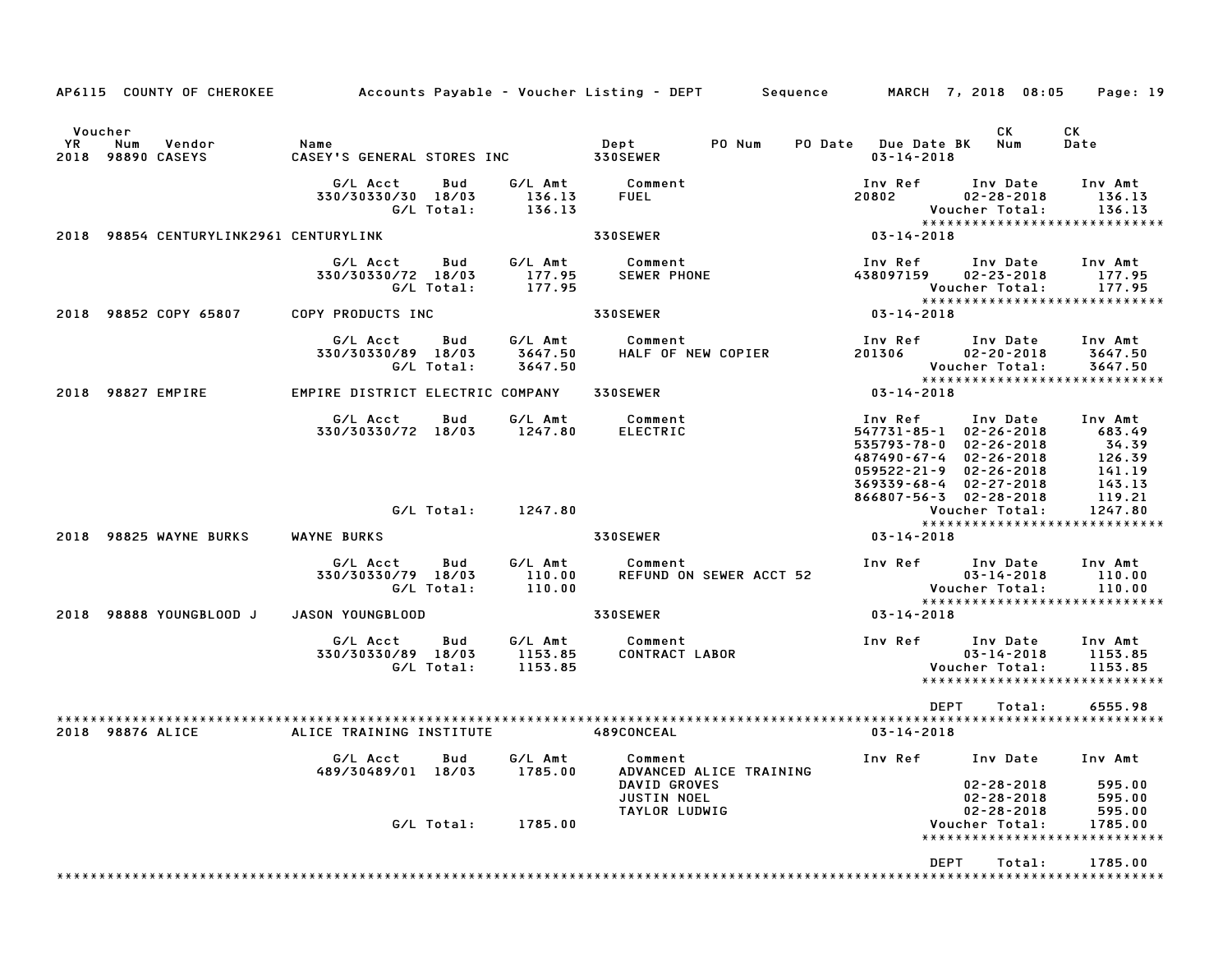| AP6115 COUNTY OF CHEROKEE                           |                                                     |                               | Accounts Payable – Voucher Listing – DEPT         Sequence               |                                                                                                                                                                                              | MARCH 7, 2018 08:05                            | Page: 19                                                           |
|-----------------------------------------------------|-----------------------------------------------------|-------------------------------|--------------------------------------------------------------------------|----------------------------------------------------------------------------------------------------------------------------------------------------------------------------------------------|------------------------------------------------|--------------------------------------------------------------------|
| Voucher<br>YR<br>Num<br>Vendor<br>2018 98890 CASEYS | Name<br>CASEY'S GENERAL STORES INC                  |                               | PO Num<br>Dept<br><b>330SEWER</b>                                        | PO Date Due Date BK<br>$03 - 14 - 2018$                                                                                                                                                      | CK<br>Num                                      | СK<br>Date                                                         |
|                                                     | G/L Acct<br>Bud<br>330/30330/30 18/03<br>G/L Total: | G/L Amt<br>136.13<br>136.13   | Comment<br>FUEL                                                          | Inv Ref<br>20802                                                                                                                                                                             | Inv Date<br>$02 - 28 - 2018$<br>Voucher Total: | Inv Amt<br>136.13<br>136.13<br>*****************************       |
| 2018 98854 CENTURYLINK2961 CENTURYLINK              |                                                     |                               | 330SEWER                                                                 | 03-14-2018                                                                                                                                                                                   |                                                |                                                                    |
|                                                     | G/L Acct<br>Bud<br>330/30330/72 18/03<br>G/L Total: | G/L Amt<br>177.95<br>177.95   | Comment<br><b>SEWER PHONE</b>                                            | Inv Ref<br>438097159                                                                                                                                                                         | Inv Date<br>$02 - 23 - 2018$<br>Voucher Total: | Inv Amt<br>177.95<br>177.95                                        |
| 2018 98852 COPY 65807                               | COPY PRODUCTS INC                                   |                               | 330SEWER                                                                 | 03-14-2018                                                                                                                                                                                   |                                                | *****************************                                      |
|                                                     | G/L Acct<br>Bud<br>330/30330/89 18/03<br>G/L Total: | G/L Amt<br>3647.50<br>3647.50 | Comment<br>HALF OF NEW COPIER                                            | Inv Ref<br>201306                                                                                                                                                                            | Inv Date<br>$02 - 20 - 2018$<br>Voucher Total: | Inv Amt<br>3647.50<br>3647.50<br>******************************    |
| 2018 98827 EMPIRE                                   | EMPIRE DISTRICT ELECTRIC COMPANY                    |                               | 330SEWER                                                                 | $03 - 14 - 2018$                                                                                                                                                                             |                                                |                                                                    |
|                                                     | G/L Acct<br>Bud<br>330/30330/72 18/03               | G/L Amt<br>1247.80            | Comment<br><b>ELECTRIC</b>                                               | Inv Ref<br>$547731 - 85 - 1$ $02 - 26 - 2018$<br>535793-78-0<br>487490-67-4 02-26-2018<br>$059522 - 21 - 9$ $02 - 26 - 2018$<br>$369339 - 68 - 4$ $02 - 27 - 2018$<br>866807-56-3 02-28-2018 | Inv Date<br>$02 - 26 - 2018$                   | Inv Amt<br>683.49<br>34.39<br>126.39<br>141.19<br>143.13<br>119.21 |
|                                                     | G/L Total:                                          | 1247.80                       |                                                                          |                                                                                                                                                                                              | Voucher Total:                                 | 1247.80<br>*****************************                           |
| 2018 98825 WAYNE BURKS                              | WAYNE BURKS                                         |                               | <b>330SEWER</b>                                                          | $03 - 14 - 2018$                                                                                                                                                                             |                                                |                                                                    |
|                                                     | G/L Acct<br>Bud<br>330/30330/79 18/03<br>G/L Total: | G/L Amt<br>110.00<br>110.00   | Comment<br>REFUND ON SEWER ACCT 52                                       | Inv Ref                                                                                                                                                                                      | Inv Date<br>$03 - 14 - 2018$<br>Voucher Total: | Inv Amt<br>110.00<br>110.00<br>*****************************       |
| 2018 98888 YOUNGBLOOD J                             | JASON YOUNGBLOOD                                    |                               | 330SEWER                                                                 | $03 - 14 - 2018$                                                                                                                                                                             |                                                |                                                                    |
|                                                     | G/L Acct<br>Bud<br>330/30330/89 18/03<br>G/L Total: | G/L Amt<br>1153.85<br>1153.85 | Comment<br>CONTRACT LABOR                                                | Inv Ref                                                                                                                                                                                      | Inv Date<br>$03 - 14 - 2018$<br>Voucher Total: | Inv Amt<br>1153.85<br>1153.85<br>*****************************     |
|                                                     |                                                     |                               |                                                                          | <b>DEPT</b>                                                                                                                                                                                  | Total:                                         | 6555.98                                                            |
| 2018 98876 ALICE                                    | ALICE TRAINING INSTITUTE                            |                               | 489CONCEAL                                                               | $03 - 14 - 2018$                                                                                                                                                                             |                                                |                                                                    |
|                                                     | G/L Acct Bud G/L Amt<br>489/30489/01 18/03          | 1785.00                       | Comment<br>ADVANCED ALICE TRAINING<br>DAVID GROVES<br><b>JUSTIN NOEL</b> | Inv Ref Inv Date                                                                                                                                                                             | $02 - 28 - 2018$<br>$02 - 28 - 2018$           | Inv Amt<br>595.00<br>595.00                                        |
|                                                     | G/L Total:                                          | 1785.00                       | TAYLOR LUDWIG                                                            |                                                                                                                                                                                              | $02 - 28 - 2018$<br>Voucher Total:             | 595.00<br>1785.00<br>*****************************                 |
|                                                     |                                                     |                               |                                                                          | DEPT                                                                                                                                                                                         | Total:                                         | 1785.00                                                            |
|                                                     |                                                     |                               |                                                                          |                                                                                                                                                                                              |                                                |                                                                    |